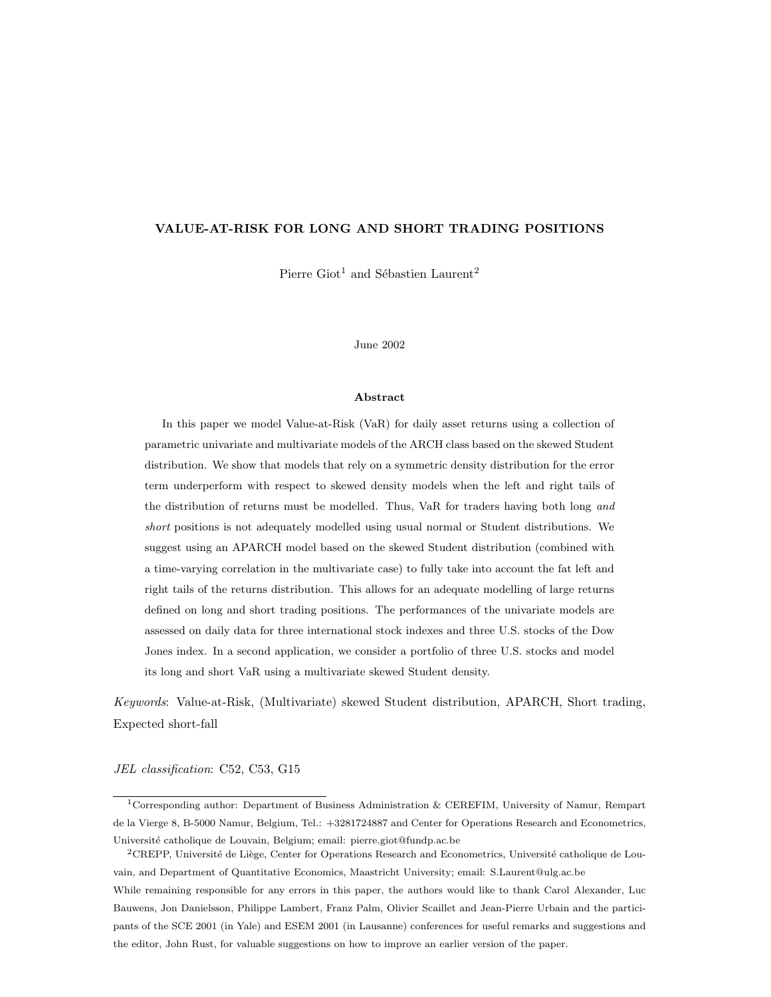### VALUE-AT-RISK FOR LONG AND SHORT TRADING POSITIONS

Pierre Giot<sup>1</sup> and Sébastien Laurent<sup>2</sup>

### June 2002

#### Abstract

In this paper we model Value-at-Risk (VaR) for daily asset returns using a collection of parametric univariate and multivariate models of the ARCH class based on the skewed Student distribution. We show that models that rely on a symmetric density distribution for the error term underperform with respect to skewed density models when the left and right tails of the distribution of returns must be modelled. Thus, VaR for traders having both long and short positions is not adequately modelled using usual normal or Student distributions. We suggest using an APARCH model based on the skewed Student distribution (combined with a time-varying correlation in the multivariate case) to fully take into account the fat left and right tails of the returns distribution. This allows for an adequate modelling of large returns defined on long and short trading positions. The performances of the univariate models are assessed on daily data for three international stock indexes and three U.S. stocks of the Dow Jones index. In a second application, we consider a portfolio of three U.S. stocks and model its long and short VaR using a multivariate skewed Student density.

Keywords: Value-at-Risk, (Multivariate) skewed Student distribution, APARCH, Short trading, Expected short-fall

JEL classification: C52, C53, G15

<sup>1</sup>Corresponding author: Department of Business Administration & CEREFIM, University of Namur, Rempart de la Vierge 8, B-5000 Namur, Belgium, Tel.: +3281724887 and Center for Operations Research and Econometrics, Université catholique de Louvain, Belgium; email: pierre.giot@fundp.ac.be

 $2$ CREPP, Université de Liège, Center for Operations Research and Econometrics, Université catholique de Louvain, and Department of Quantitative Economics, Maastricht University; email: S.Laurent@ulg.ac.be

While remaining responsible for any errors in this paper, the authors would like to thank Carol Alexander, Luc Bauwens, Jon Danielsson, Philippe Lambert, Franz Palm, Olivier Scaillet and Jean-Pierre Urbain and the participants of the SCE 2001 (in Yale) and ESEM 2001 (in Lausanne) conferences for useful remarks and suggestions and the editor, John Rust, for valuable suggestions on how to improve an earlier version of the paper.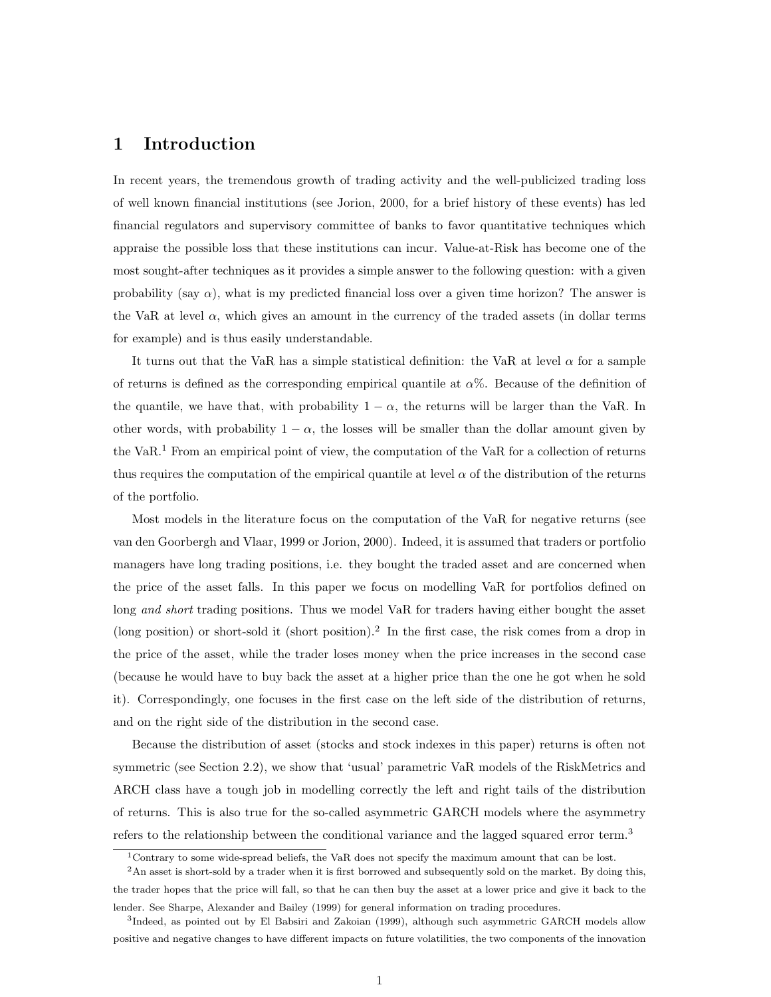# 1 Introduction

In recent years, the tremendous growth of trading activity and the well-publicized trading loss of well known financial institutions (see Jorion, 2000, for a brief history of these events) has led financial regulators and supervisory committee of banks to favor quantitative techniques which appraise the possible loss that these institutions can incur. Value-at-Risk has become one of the most sought-after techniques as it provides a simple answer to the following question: with a given probability (say  $\alpha$ ), what is my predicted financial loss over a given time horizon? The answer is the VaR at level  $\alpha$ , which gives an amount in the currency of the traded assets (in dollar terms for example) and is thus easily understandable.

It turns out that the VaR has a simple statistical definition: the VaR at level  $\alpha$  for a sample of returns is defined as the corresponding empirical quantile at  $\alpha$ %. Because of the definition of the quantile, we have that, with probability  $1 - \alpha$ , the returns will be larger than the VaR. In other words, with probability  $1 - \alpha$ , the losses will be smaller than the dollar amount given by the VaR.<sup>1</sup> From an empirical point of view, the computation of the VaR for a collection of returns thus requires the computation of the empirical quantile at level  $\alpha$  of the distribution of the returns of the portfolio.

Most models in the literature focus on the computation of the VaR for negative returns (see van den Goorbergh and Vlaar, 1999 or Jorion, 2000). Indeed, it is assumed that traders or portfolio managers have long trading positions, i.e. they bought the traded asset and are concerned when the price of the asset falls. In this paper we focus on modelling VaR for portfolios defined on long and short trading positions. Thus we model VaR for traders having either bought the asset (long position) or short-sold it (short position).<sup>2</sup> In the first case, the risk comes from a drop in the price of the asset, while the trader loses money when the price increases in the second case (because he would have to buy back the asset at a higher price than the one he got when he sold it). Correspondingly, one focuses in the first case on the left side of the distribution of returns, and on the right side of the distribution in the second case.

Because the distribution of asset (stocks and stock indexes in this paper) returns is often not symmetric (see Section 2.2), we show that 'usual' parametric VaR models of the RiskMetrics and ARCH class have a tough job in modelling correctly the left and right tails of the distribution of returns. This is also true for the so-called asymmetric GARCH models where the asymmetry refers to the relationship between the conditional variance and the lagged squared error term.<sup>3</sup>

<sup>&</sup>lt;sup>1</sup>Contrary to some wide-spread beliefs, the VaR does not specify the maximum amount that can be lost.

 $2An$  asset is short-sold by a trader when it is first borrowed and subsequently sold on the market. By doing this, the trader hopes that the price will fall, so that he can then buy the asset at a lower price and give it back to the lender. See Sharpe, Alexander and Bailey (1999) for general information on trading procedures.

<sup>&</sup>lt;sup>3</sup>Indeed, as pointed out by El Babsiri and Zakoian (1999), although such asymmetric GARCH models allow positive and negative changes to have different impacts on future volatilities, the two components of the innovation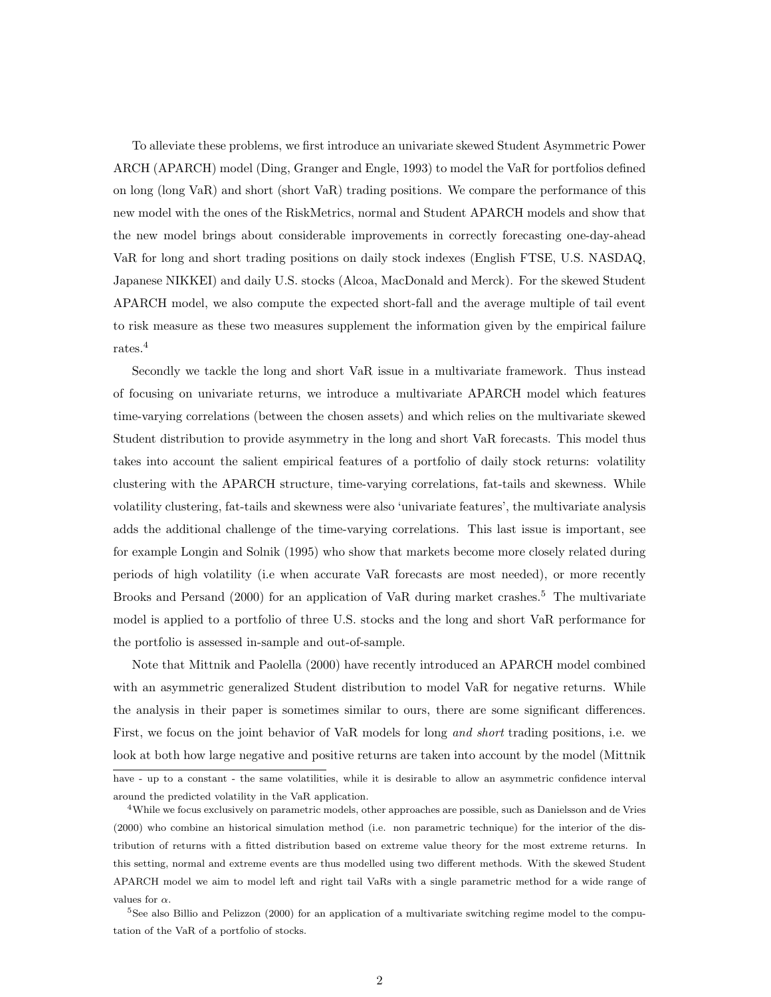To alleviate these problems, we first introduce an univariate skewed Student Asymmetric Power ARCH (APARCH) model (Ding, Granger and Engle, 1993) to model the VaR for portfolios defined on long (long VaR) and short (short VaR) trading positions. We compare the performance of this new model with the ones of the RiskMetrics, normal and Student APARCH models and show that the new model brings about considerable improvements in correctly forecasting one-day-ahead VaR for long and short trading positions on daily stock indexes (English FTSE, U.S. NASDAQ, Japanese NIKKEI) and daily U.S. stocks (Alcoa, MacDonald and Merck). For the skewed Student APARCH model, we also compute the expected short-fall and the average multiple of tail event to risk measure as these two measures supplement the information given by the empirical failure rates.<sup>4</sup>

Secondly we tackle the long and short VaR issue in a multivariate framework. Thus instead of focusing on univariate returns, we introduce a multivariate APARCH model which features time-varying correlations (between the chosen assets) and which relies on the multivariate skewed Student distribution to provide asymmetry in the long and short VaR forecasts. This model thus takes into account the salient empirical features of a portfolio of daily stock returns: volatility clustering with the APARCH structure, time-varying correlations, fat-tails and skewness. While volatility clustering, fat-tails and skewness were also 'univariate features', the multivariate analysis adds the additional challenge of the time-varying correlations. This last issue is important, see for example Longin and Solnik (1995) who show that markets become more closely related during periods of high volatility (i.e when accurate VaR forecasts are most needed), or more recently Brooks and Persand (2000) for an application of VaR during market crashes.<sup>5</sup> The multivariate model is applied to a portfolio of three U.S. stocks and the long and short VaR performance for the portfolio is assessed in-sample and out-of-sample.

Note that Mittnik and Paolella (2000) have recently introduced an APARCH model combined with an asymmetric generalized Student distribution to model VaR for negative returns. While the analysis in their paper is sometimes similar to ours, there are some significant differences. First, we focus on the joint behavior of VaR models for long *and short* trading positions, i.e. we look at both how large negative and positive returns are taken into account by the model (Mittnik have - up to a constant - the same volatilities, while it is desirable to allow an asymmetric confidence interval

around the predicted volatility in the VaR application.

<sup>4</sup>While we focus exclusively on parametric models, other approaches are possible, such as Danielsson and de Vries (2000) who combine an historical simulation method (i.e. non parametric technique) for the interior of the distribution of returns with a fitted distribution based on extreme value theory for the most extreme returns. In this setting, normal and extreme events are thus modelled using two different methods. With the skewed Student APARCH model we aim to model left and right tail VaRs with a single parametric method for a wide range of values for  $\alpha$ .

<sup>&</sup>lt;sup>5</sup>See also Billio and Pelizzon (2000) for an application of a multivariate switching regime model to the computation of the VaR of a portfolio of stocks.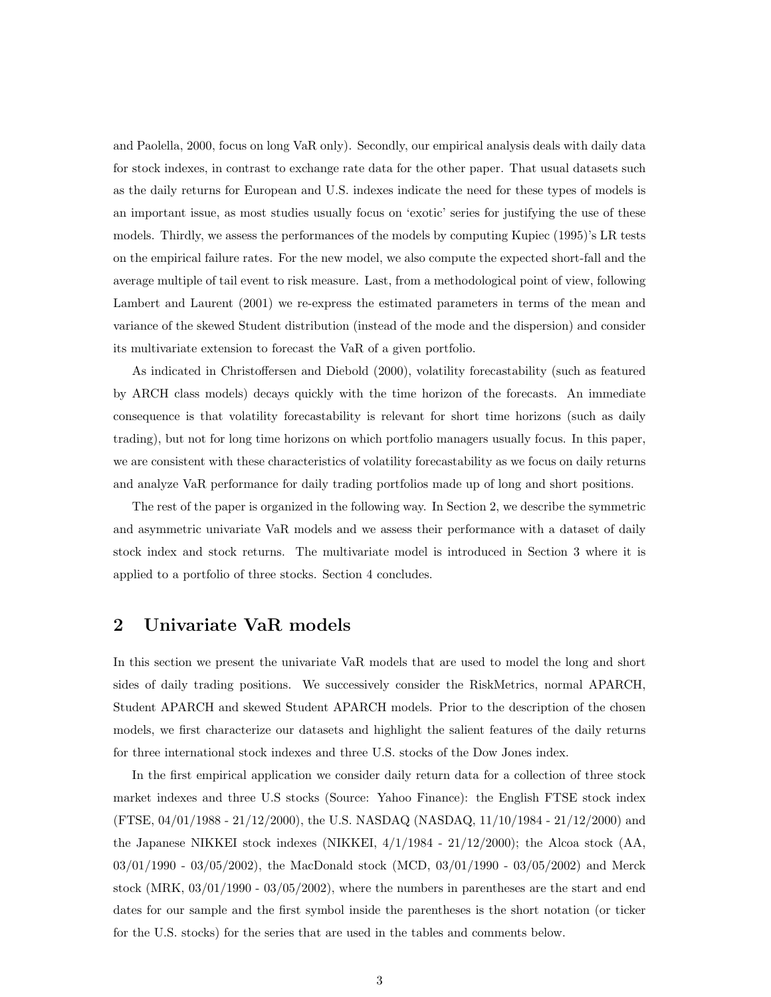and Paolella, 2000, focus on long VaR only). Secondly, our empirical analysis deals with daily data for stock indexes, in contrast to exchange rate data for the other paper. That usual datasets such as the daily returns for European and U.S. indexes indicate the need for these types of models is an important issue, as most studies usually focus on 'exotic' series for justifying the use of these models. Thirdly, we assess the performances of the models by computing Kupiec (1995)'s LR tests on the empirical failure rates. For the new model, we also compute the expected short-fall and the average multiple of tail event to risk measure. Last, from a methodological point of view, following Lambert and Laurent (2001) we re-express the estimated parameters in terms of the mean and variance of the skewed Student distribution (instead of the mode and the dispersion) and consider its multivariate extension to forecast the VaR of a given portfolio.

As indicated in Christoffersen and Diebold (2000), volatility forecastability (such as featured by ARCH class models) decays quickly with the time horizon of the forecasts. An immediate consequence is that volatility forecastability is relevant for short time horizons (such as daily trading), but not for long time horizons on which portfolio managers usually focus. In this paper, we are consistent with these characteristics of volatility forecastability as we focus on daily returns and analyze VaR performance for daily trading portfolios made up of long and short positions.

The rest of the paper is organized in the following way. In Section 2, we describe the symmetric and asymmetric univariate VaR models and we assess their performance with a dataset of daily stock index and stock returns. The multivariate model is introduced in Section 3 where it is applied to a portfolio of three stocks. Section 4 concludes.

# 2 Univariate VaR models

In this section we present the univariate VaR models that are used to model the long and short sides of daily trading positions. We successively consider the RiskMetrics, normal APARCH, Student APARCH and skewed Student APARCH models. Prior to the description of the chosen models, we first characterize our datasets and highlight the salient features of the daily returns for three international stock indexes and three U.S. stocks of the Dow Jones index.

In the first empirical application we consider daily return data for a collection of three stock market indexes and three U.S stocks (Source: Yahoo Finance): the English FTSE stock index (FTSE, 04/01/1988 - 21/12/2000), the U.S. NASDAQ (NASDAQ, 11/10/1984 - 21/12/2000) and the Japanese NIKKEI stock indexes (NIKKEI, 4/1/1984 - 21/12/2000); the Alcoa stock (AA, 03/01/1990 - 03/05/2002), the MacDonald stock (MCD, 03/01/1990 - 03/05/2002) and Merck stock (MRK, 03/01/1990 - 03/05/2002), where the numbers in parentheses are the start and end dates for our sample and the first symbol inside the parentheses is the short notation (or ticker for the U.S. stocks) for the series that are used in the tables and comments below.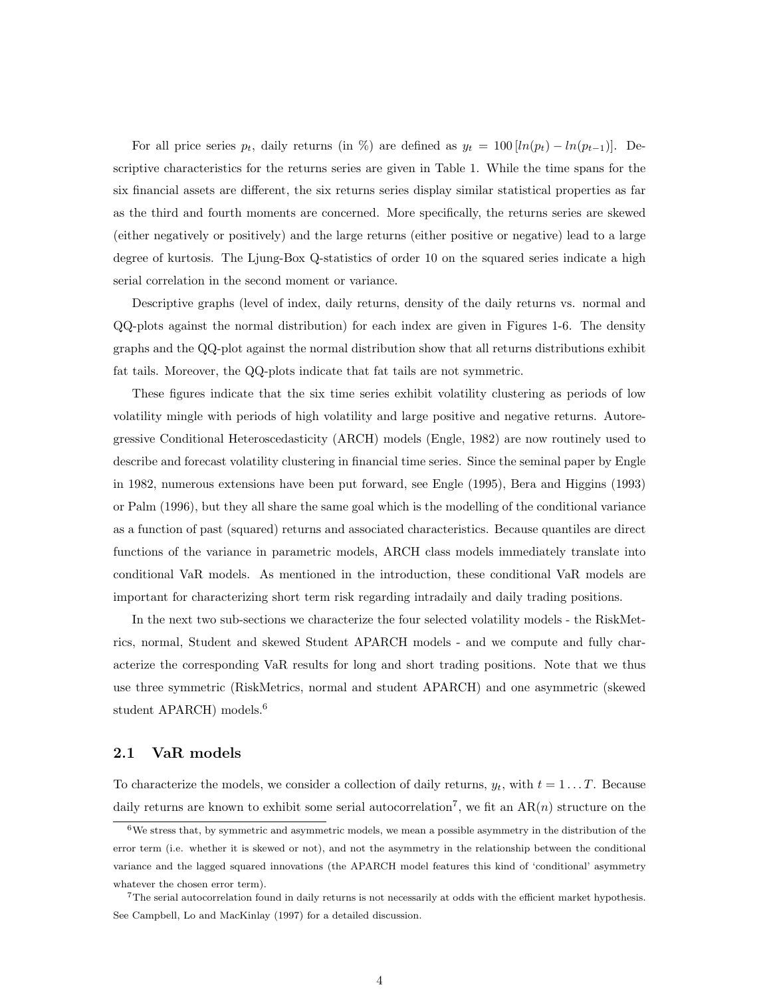For all price series  $p_t$ , daily returns (in %) are defined as  $y_t = 100 \left[ ln(p_t) - ln(p_{t-1}) \right]$ . Descriptive characteristics for the returns series are given in Table 1. While the time spans for the six financial assets are different, the six returns series display similar statistical properties as far as the third and fourth moments are concerned. More specifically, the returns series are skewed (either negatively or positively) and the large returns (either positive or negative) lead to a large degree of kurtosis. The Ljung-Box Q-statistics of order 10 on the squared series indicate a high serial correlation in the second moment or variance.

Descriptive graphs (level of index, daily returns, density of the daily returns vs. normal and QQ-plots against the normal distribution) for each index are given in Figures 1-6. The density graphs and the QQ-plot against the normal distribution show that all returns distributions exhibit fat tails. Moreover, the QQ-plots indicate that fat tails are not symmetric.

These figures indicate that the six time series exhibit volatility clustering as periods of low volatility mingle with periods of high volatility and large positive and negative returns. Autoregressive Conditional Heteroscedasticity (ARCH) models (Engle, 1982) are now routinely used to describe and forecast volatility clustering in financial time series. Since the seminal paper by Engle in 1982, numerous extensions have been put forward, see Engle (1995), Bera and Higgins (1993) or Palm (1996), but they all share the same goal which is the modelling of the conditional variance as a function of past (squared) returns and associated characteristics. Because quantiles are direct functions of the variance in parametric models, ARCH class models immediately translate into conditional VaR models. As mentioned in the introduction, these conditional VaR models are important for characterizing short term risk regarding intradaily and daily trading positions.

In the next two sub-sections we characterize the four selected volatility models - the RiskMetrics, normal, Student and skewed Student APARCH models - and we compute and fully characterize the corresponding VaR results for long and short trading positions. Note that we thus use three symmetric (RiskMetrics, normal and student APARCH) and one asymmetric (skewed student APARCH) models.<sup>6</sup>

### 2.1 VaR models

To characterize the models, we consider a collection of daily returns,  $y_t$ , with  $t = 1...T$ . Because daily returns are known to exhibit some serial autocorrelation<sup>7</sup>, we fit an  $AR(n)$  structure on the

 $6$ We stress that, by symmetric and asymmetric models, we mean a possible asymmetry in the distribution of the error term (i.e. whether it is skewed or not), and not the asymmetry in the relationship between the conditional variance and the lagged squared innovations (the APARCH model features this kind of 'conditional' asymmetry whatever the chosen error term).

<sup>7</sup>The serial autocorrelation found in daily returns is not necessarily at odds with the efficient market hypothesis. See Campbell, Lo and MacKinlay (1997) for a detailed discussion.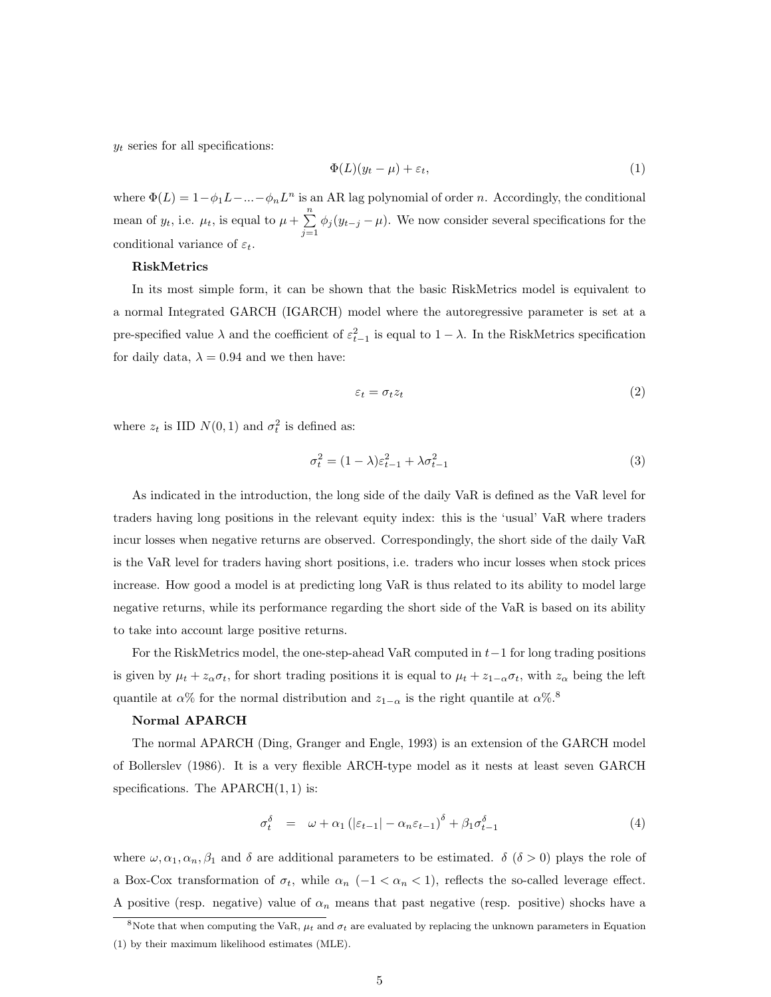$y_t$  series for all specifications:

$$
\Phi(L)(y_t - \mu) + \varepsilon_t, \tag{1}
$$

where  $\Phi(L) = 1 - \phi_1 L - ... - \phi_n L^n$  is an AR lag polynomial of order n. Accordingly, the conditional mean of  $y_t$ , i.e.  $\mu_t$ , is equal to  $\mu + \sum_{i=1}^{n}$  $\sum_{j=1} \phi_j (y_{t-j} - \mu)$ . We now consider several specifications for the conditional variance of  $\varepsilon_t$ .

#### RiskMetrics

In its most simple form, it can be shown that the basic RiskMetrics model is equivalent to a normal Integrated GARCH (IGARCH) model where the autoregressive parameter is set at a pre-specified value  $\lambda$  and the coefficient of  $\varepsilon_{t-1}^2$  is equal to  $1-\lambda$ . In the RiskMetrics specification for daily data,  $\lambda = 0.94$  and we then have:

$$
\varepsilon_t = \sigma_t z_t \tag{2}
$$

where  $z_t$  is IID  $N(0, 1)$  and  $\sigma_t^2$  is defined as:

$$
\sigma_t^2 = (1 - \lambda)\varepsilon_{t-1}^2 + \lambda \sigma_{t-1}^2 \tag{3}
$$

As indicated in the introduction, the long side of the daily VaR is defined as the VaR level for traders having long positions in the relevant equity index: this is the 'usual' VaR where traders incur losses when negative returns are observed. Correspondingly, the short side of the daily VaR is the VaR level for traders having short positions, i.e. traders who incur losses when stock prices increase. How good a model is at predicting long VaR is thus related to its ability to model large negative returns, while its performance regarding the short side of the VaR is based on its ability to take into account large positive returns.

For the RiskMetrics model, the one-step-ahead VaR computed in  $t-1$  for long trading positions is given by  $\mu_t + z_\alpha \sigma_t$ , for short trading positions it is equal to  $\mu_t + z_{1-\alpha} \sigma_t$ , with  $z_\alpha$  being the left quantile at  $\alpha$ % for the normal distribution and  $z_{1-\alpha}$  is the right quantile at  $\alpha$ %.<sup>8</sup>

### Normal APARCH

The normal APARCH (Ding, Granger and Engle, 1993) is an extension of the GARCH model of Bollerslev (1986). It is a very flexible ARCH-type model as it nests at least seven GARCH specifications. The APARCH $(1, 1)$  is:

$$
\sigma_t^{\delta} = \omega + \alpha_1 \left( |\varepsilon_{t-1}| - \alpha_n \varepsilon_{t-1} \right)^{\delta} + \beta_1 \sigma_{t-1}^{\delta} \tag{4}
$$

where  $\omega, \alpha_1, \alpha_n, \beta_1$  and  $\delta$  are additional parameters to be estimated.  $\delta$  ( $\delta > 0$ ) plays the role of a Box-Cox transformation of  $\sigma_t$ , while  $\alpha_n$  (-1 <  $\alpha_n$  < 1), reflects the so-called leverage effect. A positive (resp. negative) value of  $\alpha_n$  means that past negative (resp. positive) shocks have a

<sup>&</sup>lt;sup>8</sup>Note that when computing the VaR,  $\mu_t$  and  $\sigma_t$  are evaluated by replacing the unknown parameters in Equation (1) by their maximum likelihood estimates (MLE).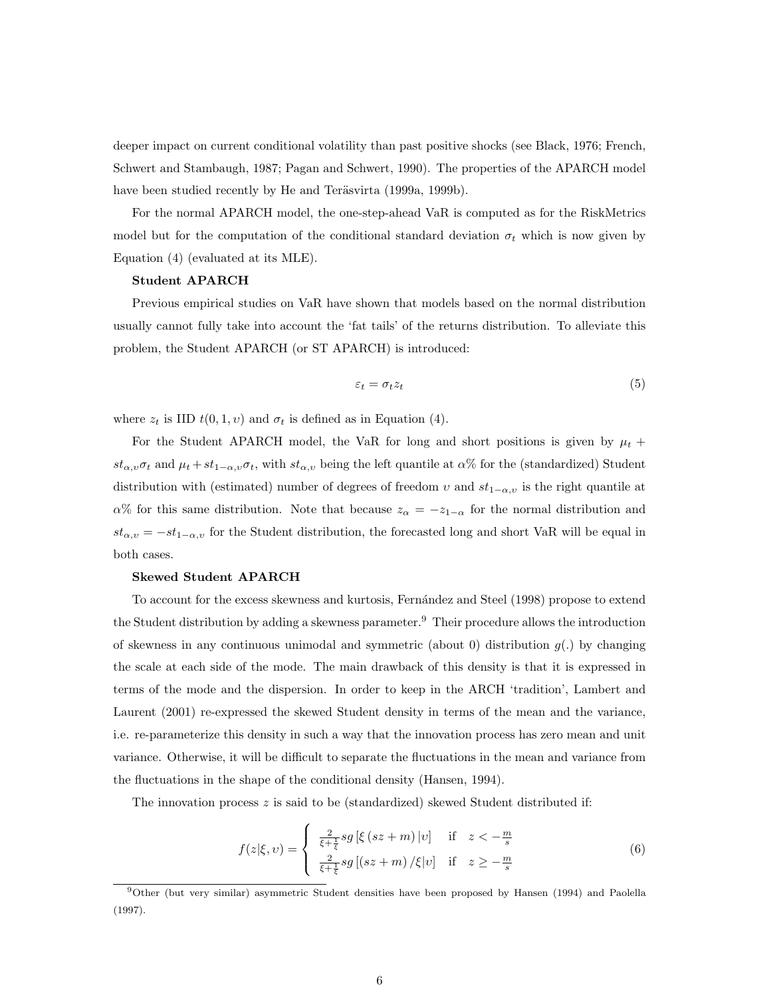deeper impact on current conditional volatility than past positive shocks (see Black, 1976; French, Schwert and Stambaugh, 1987; Pagan and Schwert, 1990). The properties of the APARCH model have been studied recently by He and Teräsvirta (1999a, 1999b).

For the normal APARCH model, the one-step-ahead VaR is computed as for the RiskMetrics model but for the computation of the conditional standard deviation  $\sigma_t$  which is now given by Equation (4) (evaluated at its MLE).

#### Student APARCH

Previous empirical studies on VaR have shown that models based on the normal distribution usually cannot fully take into account the 'fat tails' of the returns distribution. To alleviate this problem, the Student APARCH (or ST APARCH) is introduced:

$$
\varepsilon_t = \sigma_t z_t \tag{5}
$$

where  $z_t$  is IID  $t(0, 1, v)$  and  $\sigma_t$  is defined as in Equation (4).

For the Student APARCH model, the VaR for long and short positions is given by  $\mu_t$  +  $st_{\alpha,v}\sigma_t$  and  $\mu_t + st_{1-\alpha,v}\sigma_t$ , with  $st_{\alpha,v}$  being the left quantile at  $\alpha\%$  for the (standardized) Student distribution with (estimated) number of degrees of freedom v and  $st_{1-\alpha,\upsilon}$  is the right quantile at  $\alpha$ % for this same distribution. Note that because  $z_{\alpha} = -z_{1-\alpha}$  for the normal distribution and  $st_{\alpha,\upsilon} = -st_{1-\alpha,\upsilon}$  for the Student distribution, the forecasted long and short VaR will be equal in both cases.

#### Skewed Student APARCH

To account for the excess skewness and kurtosis, Fernández and Steel (1998) propose to extend the Student distribution by adding a skewness parameter.<sup>9</sup> Their procedure allows the introduction of skewness in any continuous unimodal and symmetric (about 0) distribution  $g(.)$  by changing the scale at each side of the mode. The main drawback of this density is that it is expressed in terms of the mode and the dispersion. In order to keep in the ARCH 'tradition', Lambert and Laurent (2001) re-expressed the skewed Student density in terms of the mean and the variance, i.e. re-parameterize this density in such a way that the innovation process has zero mean and unit variance. Otherwise, it will be difficult to separate the fluctuations in the mean and variance from the fluctuations in the shape of the conditional density (Hansen, 1994).

The innovation process  $z$  is said to be (standardized) skewed Student distributed if:

$$
f(z|\xi, v) = \begin{cases} \frac{2}{\xi + \frac{1}{\xi}} sg\left[\xi\left(sz + m\right)|v\right] & \text{if } z < -\frac{m}{s} \\ \frac{2}{\xi + \frac{1}{\xi}} sg\left[\left(sz + m\right)/\xi|v\right] & \text{if } z \ge -\frac{m}{s} \end{cases}
$$
(6)

<sup>9</sup>Other (but very similar) asymmetric Student densities have been proposed by Hansen (1994) and Paolella (1997).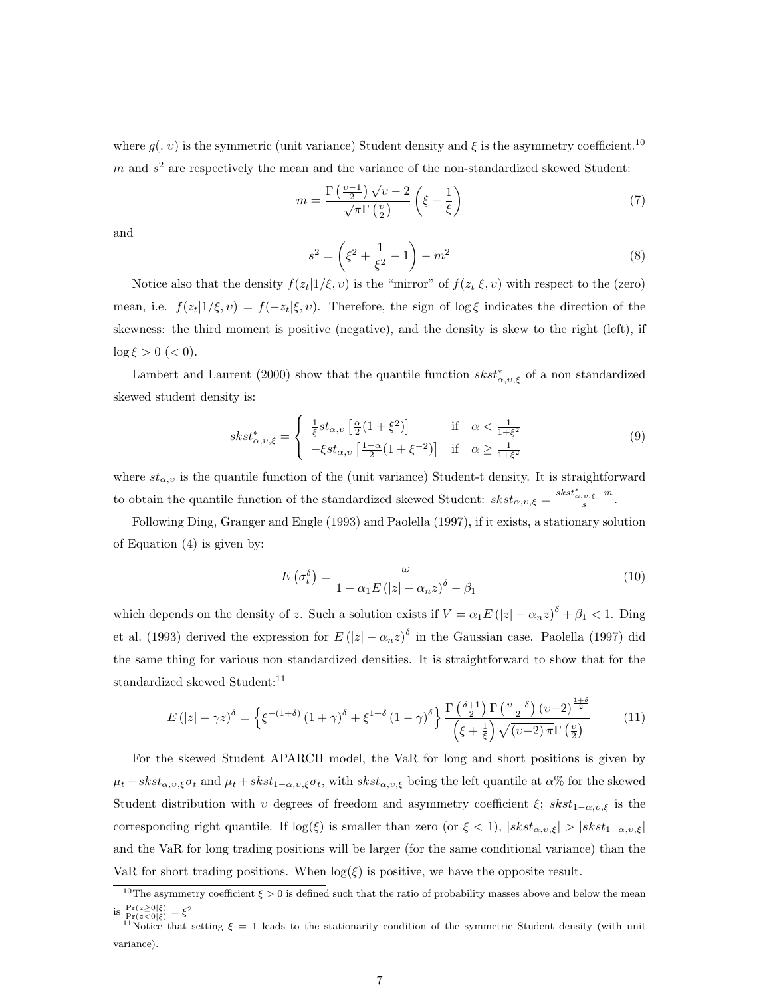where  $g(.|v)$  is the symmetric (unit variance) Student density and  $\xi$  is the asymmetry coefficient.<sup>10</sup> m and  $s<sup>2</sup>$  are respectively the mean and the variance of the non-standardized skewed Student:

$$
m = \frac{\Gamma\left(\frac{\nu - 1}{2}\right)\sqrt{\nu - 2}}{\sqrt{\pi}\Gamma\left(\frac{\nu}{2}\right)} \left(\xi - \frac{1}{\xi}\right) \tag{7}
$$

and

$$
s^2 = \left(\xi^2 + \frac{1}{\xi^2} - 1\right) - m^2\tag{8}
$$

Notice also that the density  $f(z_t|1/\xi, v)$  is the "mirror" of  $f(z_t|\xi, v)$  with respect to the (zero) mean, i.e.  $f(z_t|1/\xi, v) = f(-z_t|\xi, v)$ . Therefore, the sign of log  $\xi$  indicates the direction of the skewness: the third moment is positive (negative), and the density is skew to the right (left), if  $\log \xi > 0 \; (< 0).$ 

Lambert and Laurent (2000) show that the quantile function  $skst_{\alpha,\upsilon,\xi}^*$  of a non standardized skewed student density is:

$$
skst_{\alpha,\upsilon,\xi}^{*} = \begin{cases} \frac{1}{\xi}st_{\alpha,\upsilon}\left[\frac{\alpha}{2}(1+\xi^{2})\right] & \text{if } \alpha < \frac{1}{1+\xi^{2}}\\ -\xi st_{\alpha,\upsilon}\left[\frac{1-\alpha}{2}(1+\xi^{-2})\right] & \text{if } \alpha \ge \frac{1}{1+\xi^{2}} \end{cases}
$$
(9)

where  $st_{\alpha,v}$  is the quantile function of the (unit variance) Student-t density. It is straightforward to obtain the quantile function of the standardized skewed Student:  $skst_{\alpha,v,\xi} = \frac{skst_{\alpha,v,\xi}^* - m}{s}$ .

Following Ding, Granger and Engle (1993) and Paolella (1997), if it exists, a stationary solution of Equation (4) is given by:

$$
E\left(\sigma_t^{\delta}\right) = \frac{\omega}{1 - \alpha_1 E\left(|z| - \alpha_n z\right)^{\delta} - \beta_1}
$$
\n(10)

which depends on the density of z. Such a solution exists if  $V = \alpha_1 E (|z| - \alpha_n z)^{\delta} + \beta_1 < 1$ . Ding et al. (1993) derived the expression for  $E(|z| - \alpha_n z)^{\delta}$  in the Gaussian case. Paolella (1997) did the same thing for various non standardized densities. It is straightforward to show that for the standardized skewed Student:<sup>11</sup>

$$
E(|z| - \gamma z)^{\delta} = \left\{ \xi^{-(1+\delta)} \left( 1 + \gamma \right)^{\delta} + \xi^{1+\delta} \left( 1 - \gamma \right)^{\delta} \right\} \frac{\Gamma\left(\frac{\delta+1}{2}\right) \Gamma\left(\frac{\nu-\delta}{2}\right) (\nu-2)^{\frac{1+\delta}{2}}}{\left(\xi + \frac{1}{\xi}\right) \sqrt{(\nu-2)\pi} \Gamma\left(\frac{\nu}{2}\right)} \tag{11}
$$

For the skewed Student APARCH model, the VaR for long and short positions is given by  $\mu_t + skst_{\alpha, v, \xi}\sigma_t$  and  $\mu_t + skst_{1-\alpha, v, \xi}\sigma_t$ , with  $skst_{\alpha, v, \xi}$  being the left quantile at  $\alpha$ % for the skewed Student distribution with v degrees of freedom and asymmetry coefficient  $\xi$ ; skst<sub>1-α,v, $\xi$ </sub> is the corresponding right quantile. If  $\log(\xi)$  is smaller than zero (or  $\xi < 1$ ),  $|skst_{\alpha,\upsilon,\xi}| > |skst_{1-\alpha,\upsilon,\xi}|$ and the VaR for long trading positions will be larger (for the same conditional variance) than the VaR for short trading positions. When  $log(\xi)$  is positive, we have the opposite result.

<sup>&</sup>lt;sup>10</sup>The asymmetry coefficient  $\xi > 0$  is defined such that the ratio of probability masses above and below the mean is  $\frac{\Pr(z \geq 0|\xi)}{\Pr(z < 0|\xi)} = \xi^2$ 

<sup>&</sup>lt;sup>11</sup>Notice that setting  $\xi = 1$  leads to the stationarity condition of the symmetric Student density (with unit variance).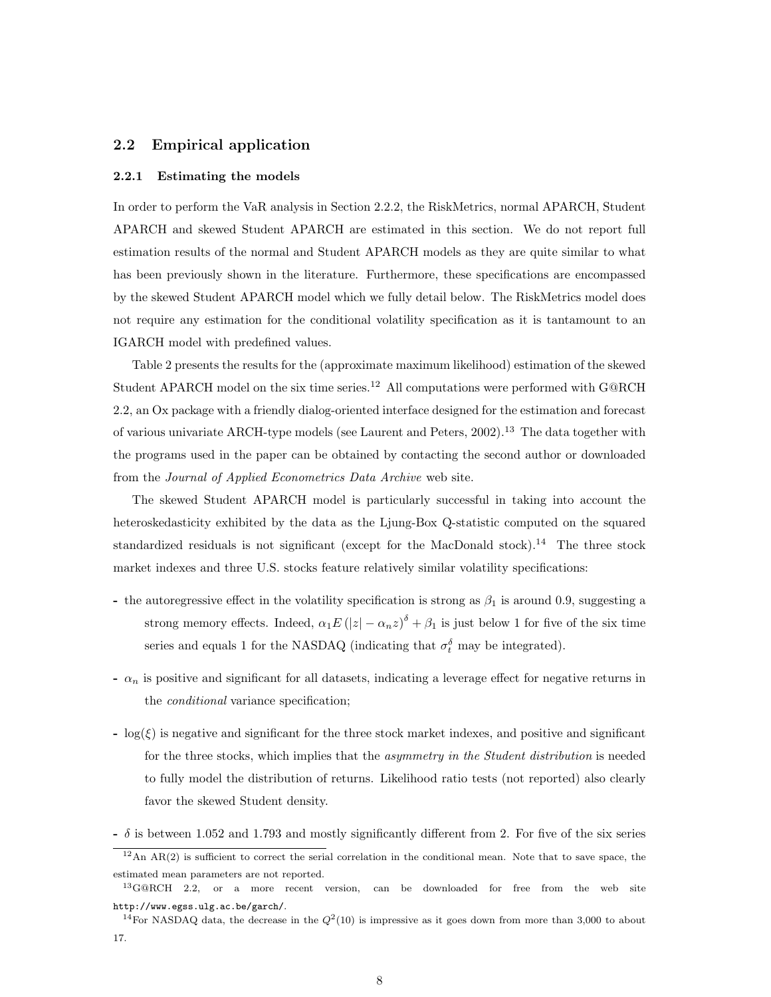### 2.2 Empirical application

### 2.2.1 Estimating the models

In order to perform the VaR analysis in Section 2.2.2, the RiskMetrics, normal APARCH, Student APARCH and skewed Student APARCH are estimated in this section. We do not report full estimation results of the normal and Student APARCH models as they are quite similar to what has been previously shown in the literature. Furthermore, these specifications are encompassed by the skewed Student APARCH model which we fully detail below. The RiskMetrics model does not require any estimation for the conditional volatility specification as it is tantamount to an IGARCH model with predefined values.

Table 2 presents the results for the (approximate maximum likelihood) estimation of the skewed Student APARCH model on the six time series.<sup>12</sup> All computations were performed with G@RCH 2.2, an Ox package with a friendly dialog-oriented interface designed for the estimation and forecast of various univariate ARCH-type models (see Laurent and Peters,  $2002$ ).<sup>13</sup> The data together with the programs used in the paper can be obtained by contacting the second author or downloaded from the Journal of Applied Econometrics Data Archive web site.

The skewed Student APARCH model is particularly successful in taking into account the heteroskedasticity exhibited by the data as the Ljung-Box Q-statistic computed on the squared standardized residuals is not significant (except for the MacDonald stock).<sup>14</sup> The three stock market indexes and three U.S. stocks feature relatively similar volatility specifications:

- the autoregressive effect in the volatility specification is strong as  $\beta_1$  is around 0.9, suggesting a strong memory effects. Indeed,  $\alpha_1 E(|z| - \alpha_n z)^{\delta} + \beta_1$  is just below 1 for five of the six time series and equals 1 for the NASDAQ (indicating that  $\sigma_t^{\delta}$  may be integrated).
- $-\alpha_n$  is positive and significant for all datasets, indicating a leverage effect for negative returns in the conditional variance specification;
- $\log(\xi)$  is negative and significant for the three stock market indexes, and positive and significant for the three stocks, which implies that the asymmetry in the Student distribution is needed to fully model the distribution of returns. Likelihood ratio tests (not reported) also clearly favor the skewed Student density.
- $\sim \delta$  is between 1.052 and 1.793 and mostly significantly different from 2. For five of the six series

 $12$ An AR(2) is sufficient to correct the serial correlation in the conditional mean. Note that to save space, the estimated mean parameters are not reported.

<sup>13</sup>G@RCH 2.2, or a more recent version, can be downloaded for free from the web site http://www.egss.ulg.ac.be/garch/.

<sup>&</sup>lt;sup>14</sup>For NASDAQ data, the decrease in the  $Q^2(10)$  is impressive as it goes down from more than 3,000 to about 17.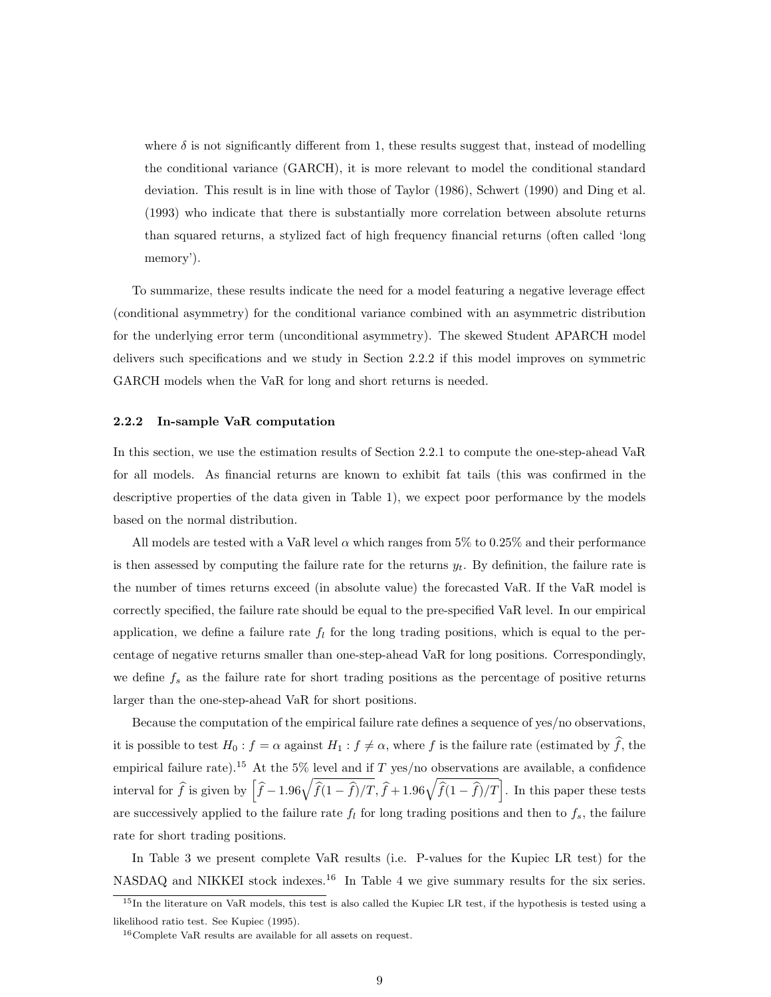where  $\delta$  is not significantly different from 1, these results suggest that, instead of modelling the conditional variance (GARCH), it is more relevant to model the conditional standard deviation. This result is in line with those of Taylor (1986), Schwert (1990) and Ding et al. (1993) who indicate that there is substantially more correlation between absolute returns than squared returns, a stylized fact of high frequency financial returns (often called 'long memory').

To summarize, these results indicate the need for a model featuring a negative leverage effect (conditional asymmetry) for the conditional variance combined with an asymmetric distribution for the underlying error term (unconditional asymmetry). The skewed Student APARCH model delivers such specifications and we study in Section 2.2.2 if this model improves on symmetric GARCH models when the VaR for long and short returns is needed.

### 2.2.2 In-sample VaR computation

In this section, we use the estimation results of Section 2.2.1 to compute the one-step-ahead VaR for all models. As financial returns are known to exhibit fat tails (this was confirmed in the descriptive properties of the data given in Table 1), we expect poor performance by the models based on the normal distribution.

All models are tested with a VaR level  $\alpha$  which ranges from 5% to 0.25% and their performance is then assessed by computing the failure rate for the returns  $y_t$ . By definition, the failure rate is the number of times returns exceed (in absolute value) the forecasted VaR. If the VaR model is correctly specified, the failure rate should be equal to the pre-specified VaR level. In our empirical application, we define a failure rate  $f_l$  for the long trading positions, which is equal to the percentage of negative returns smaller than one-step-ahead VaR for long positions. Correspondingly, we define  $f_s$  as the failure rate for short trading positions as the percentage of positive returns larger than the one-step-ahead VaR for short positions.

Because the computation of the empirical failure rate defines a sequence of yes/no observations, it is possible to test  $H_0 : f = \alpha$  against  $H_1 : f \neq \alpha$ , where f is the failure rate (estimated by  $\hat{f}$ , the empirical failure rate).<sup>15</sup> At the 5% level and if T yes/no observations are available, a confidence empirical failure rate). At the 3% fever and if T yes/ho observations are available, a confidence<br>interval for  $\hat{f}$  is given by  $\left[\hat{f}-1.96\sqrt{\hat{f}(1-\hat{f})/T}, \hat{f}+1.96\sqrt{\hat{f}(1-\hat{f})/T}\right]$ . In this paper these tests are successively applied to the failure rate  $f_l$  for long trading positions and then to  $f_s$ , the failure rate for short trading positions.

In Table 3 we present complete VaR results (i.e. P-values for the Kupiec LR test) for the NASDAQ and NIKKEI stock indexes.<sup>16</sup> In Table 4 we give summary results for the six series.

<sup>15</sup>In the literature on VaR models, this test is also called the Kupiec LR test, if the hypothesis is tested using a likelihood ratio test. See Kupiec (1995).

<sup>16</sup>Complete VaR results are available for all assets on request.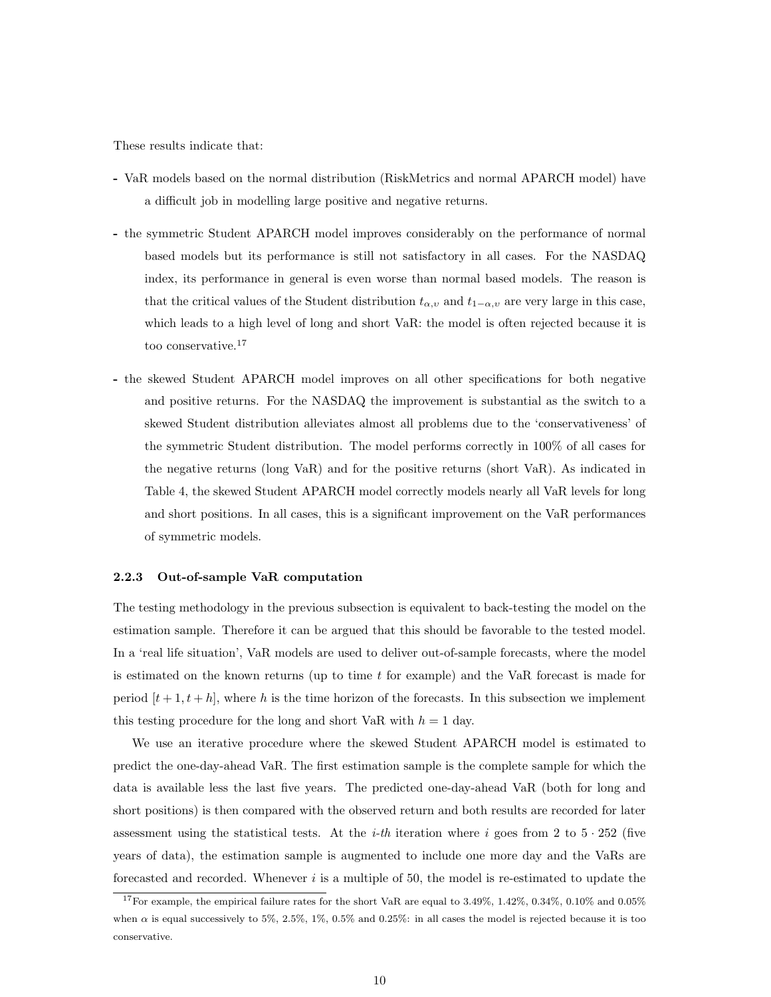These results indicate that:

- VaR models based on the normal distribution (RiskMetrics and normal APARCH model) have a difficult job in modelling large positive and negative returns.
- the symmetric Student APARCH model improves considerably on the performance of normal based models but its performance is still not satisfactory in all cases. For the NASDAQ index, its performance in general is even worse than normal based models. The reason is that the critical values of the Student distribution  $t_{\alpha,v}$  and  $t_{1-\alpha,v}$  are very large in this case, which leads to a high level of long and short VaR: the model is often rejected because it is too conservative.<sup>17</sup>
- the skewed Student APARCH model improves on all other specifications for both negative and positive returns. For the NASDAQ the improvement is substantial as the switch to a skewed Student distribution alleviates almost all problems due to the 'conservativeness' of the symmetric Student distribution. The model performs correctly in 100% of all cases for the negative returns (long VaR) and for the positive returns (short VaR). As indicated in Table 4, the skewed Student APARCH model correctly models nearly all VaR levels for long and short positions. In all cases, this is a significant improvement on the VaR performances of symmetric models.

### 2.2.3 Out-of-sample VaR computation

The testing methodology in the previous subsection is equivalent to back-testing the model on the estimation sample. Therefore it can be argued that this should be favorable to the tested model. In a 'real life situation', VaR models are used to deliver out-of-sample forecasts, where the model is estimated on the known returns (up to time t for example) and the VaR forecast is made for period  $[t+1, t+h]$ , where h is the time horizon of the forecasts. In this subsection we implement this testing procedure for the long and short VaR with  $h = 1$  day.

We use an iterative procedure where the skewed Student APARCH model is estimated to predict the one-day-ahead VaR. The first estimation sample is the complete sample for which the data is available less the last five years. The predicted one-day-ahead VaR (both for long and short positions) is then compared with the observed return and both results are recorded for later assessment using the statistical tests. At the *i-th* iteration where i goes from 2 to  $5 \cdot 252$  (five years of data), the estimation sample is augmented to include one more day and the VaRs are forecasted and recorded. Whenever  $i$  is a multiple of 50, the model is re-estimated to update the

<sup>17</sup>For example, the empirical failure rates for the short VaR are equal to 3.49%, 1.42%, 0.34%, 0.10% and 0.05% when  $\alpha$  is equal successively to 5%, 2.5%, 1%, 0.5% and 0.25%: in all cases the model is rejected because it is too conservative.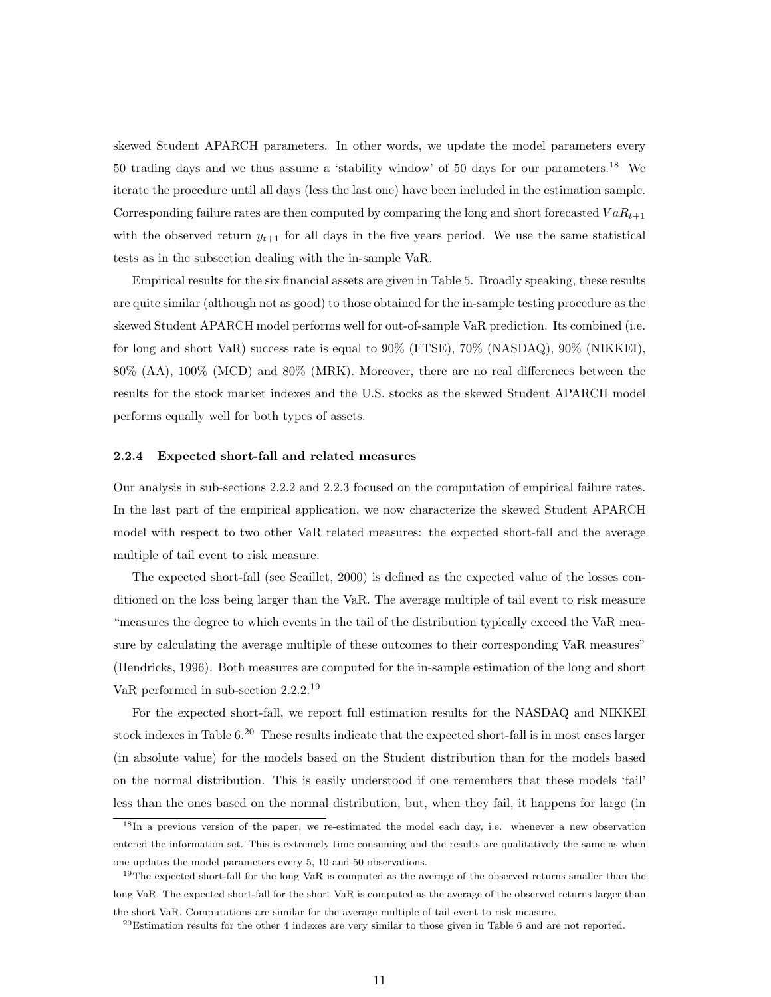skewed Student APARCH parameters. In other words, we update the model parameters every 50 trading days and we thus assume a 'stability window' of 50 days for our parameters.<sup>18</sup> We iterate the procedure until all days (less the last one) have been included in the estimation sample. Corresponding failure rates are then computed by comparing the long and short forecasted  $VaR_{t+1}$ with the observed return  $y_{t+1}$  for all days in the five years period. We use the same statistical tests as in the subsection dealing with the in-sample VaR.

Empirical results for the six financial assets are given in Table 5. Broadly speaking, these results are quite similar (although not as good) to those obtained for the in-sample testing procedure as the skewed Student APARCH model performs well for out-of-sample VaR prediction. Its combined (i.e. for long and short VaR) success rate is equal to 90% (FTSE), 70% (NASDAQ), 90% (NIKKEI), 80% (AA), 100% (MCD) and 80% (MRK). Moreover, there are no real differences between the results for the stock market indexes and the U.S. stocks as the skewed Student APARCH model performs equally well for both types of assets.

### 2.2.4 Expected short-fall and related measures

Our analysis in sub-sections 2.2.2 and 2.2.3 focused on the computation of empirical failure rates. In the last part of the empirical application, we now characterize the skewed Student APARCH model with respect to two other VaR related measures: the expected short-fall and the average multiple of tail event to risk measure.

The expected short-fall (see Scaillet, 2000) is defined as the expected value of the losses conditioned on the loss being larger than the VaR. The average multiple of tail event to risk measure "measures the degree to which events in the tail of the distribution typically exceed the VaR measure by calculating the average multiple of these outcomes to their corresponding VaR measures" (Hendricks, 1996). Both measures are computed for the in-sample estimation of the long and short VaR performed in sub-section 2.2.2.<sup>19</sup>

For the expected short-fall, we report full estimation results for the NASDAQ and NIKKEI stock indexes in Table 6.<sup>20</sup> These results indicate that the expected short-fall is in most cases larger (in absolute value) for the models based on the Student distribution than for the models based on the normal distribution. This is easily understood if one remembers that these models 'fail' less than the ones based on the normal distribution, but, when they fail, it happens for large (in

<sup>&</sup>lt;sup>18</sup>In a previous version of the paper, we re-estimated the model each day, i.e. whenever a new observation entered the information set. This is extremely time consuming and the results are qualitatively the same as when one updates the model parameters every 5, 10 and 50 observations.

<sup>&</sup>lt;sup>19</sup>The expected short-fall for the long VaR is computed as the average of the observed returns smaller than the long VaR. The expected short-fall for the short VaR is computed as the average of the observed returns larger than the short VaR. Computations are similar for the average multiple of tail event to risk measure.

 $^{20}$ Estimation results for the other 4 indexes are very similar to those given in Table 6 and are not reported.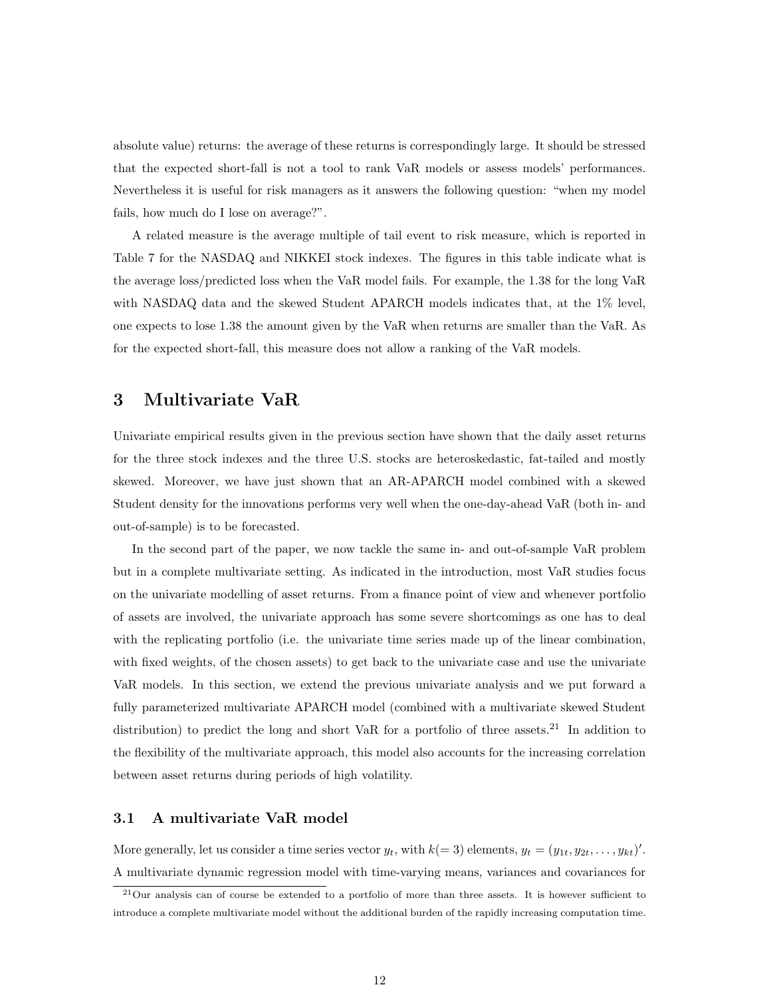absolute value) returns: the average of these returns is correspondingly large. It should be stressed that the expected short-fall is not a tool to rank VaR models or assess models' performances. Nevertheless it is useful for risk managers as it answers the following question: "when my model fails, how much do I lose on average?".

A related measure is the average multiple of tail event to risk measure, which is reported in Table 7 for the NASDAQ and NIKKEI stock indexes. The figures in this table indicate what is the average loss/predicted loss when the VaR model fails. For example, the 1.38 for the long VaR with NASDAQ data and the skewed Student APARCH models indicates that, at the 1% level, one expects to lose 1.38 the amount given by the VaR when returns are smaller than the VaR. As for the expected short-fall, this measure does not allow a ranking of the VaR models.

# 3 Multivariate VaR

Univariate empirical results given in the previous section have shown that the daily asset returns for the three stock indexes and the three U.S. stocks are heteroskedastic, fat-tailed and mostly skewed. Moreover, we have just shown that an AR-APARCH model combined with a skewed Student density for the innovations performs very well when the one-day-ahead VaR (both in- and out-of-sample) is to be forecasted.

In the second part of the paper, we now tackle the same in- and out-of-sample VaR problem but in a complete multivariate setting. As indicated in the introduction, most VaR studies focus on the univariate modelling of asset returns. From a finance point of view and whenever portfolio of assets are involved, the univariate approach has some severe shortcomings as one has to deal with the replicating portfolio (i.e. the univariate time series made up of the linear combination, with fixed weights, of the chosen assets) to get back to the univariate case and use the univariate VaR models. In this section, we extend the previous univariate analysis and we put forward a fully parameterized multivariate APARCH model (combined with a multivariate skewed Student distribution) to predict the long and short VaR for a portfolio of three assets.<sup>21</sup> In addition to the flexibility of the multivariate approach, this model also accounts for the increasing correlation between asset returns during periods of high volatility.

### 3.1 A multivariate VaR model

More generally, let us consider a time series vector  $y_t$ , with  $k (= 3)$  elements,  $y_t = (y_{1t}, y_{2t}, \ldots, y_{kt})'$ . A multivariate dynamic regression model with time-varying means, variances and covariances for

<sup>21</sup>Our analysis can of course be extended to a portfolio of more than three assets. It is however sufficient to introduce a complete multivariate model without the additional burden of the rapidly increasing computation time.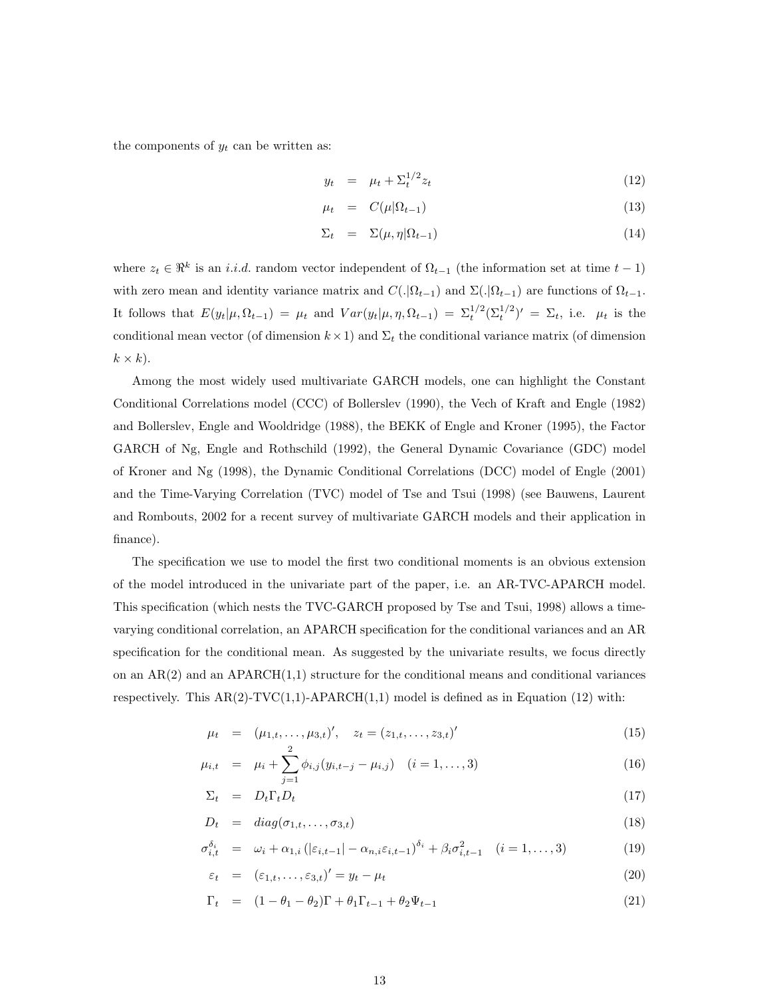the components of  $y_t$  can be written as:

$$
y_t = \mu_t + \Sigma_t^{1/2} z_t \tag{12}
$$

$$
\mu_t = C(\mu|\Omega_{t-1}) \tag{13}
$$

$$
\Sigma_t = \Sigma(\mu, \eta | \Omega_{t-1}) \tag{14}
$$

where  $z_t \in \mathbb{R}^k$  is an *i.i.d.* random vector independent of  $\Omega_{t-1}$  (the information set at time  $t-1$ ) with zero mean and identity variance matrix and  $C(.|\Omega_{t-1})$  and  $\Sigma(.|\Omega_{t-1})$  are functions of  $\Omega_{t-1}$ . It follows that  $E(y_t|\mu, \Omega_{t-1}) = \mu_t$  and  $Var(y_t|\mu, \eta, \Omega_{t-1}) = \sum_t^{1/2} (\sum_t^{1/2})' = \sum_t$ , i.e.  $\mu_t$  is the conditional mean vector (of dimension  $k \times 1$ ) and  $\Sigma_t$  the conditional variance matrix (of dimension  $k \times k$ ).

Among the most widely used multivariate GARCH models, one can highlight the Constant Conditional Correlations model (CCC) of Bollerslev (1990), the Vech of Kraft and Engle (1982) and Bollerslev, Engle and Wooldridge (1988), the BEKK of Engle and Kroner (1995), the Factor GARCH of Ng, Engle and Rothschild (1992), the General Dynamic Covariance (GDC) model of Kroner and Ng (1998), the Dynamic Conditional Correlations (DCC) model of Engle (2001) and the Time-Varying Correlation (TVC) model of Tse and Tsui (1998) (see Bauwens, Laurent and Rombouts, 2002 for a recent survey of multivariate GARCH models and their application in finance).

The specification we use to model the first two conditional moments is an obvious extension of the model introduced in the univariate part of the paper, i.e. an AR-TVC-APARCH model. This specification (which nests the TVC-GARCH proposed by Tse and Tsui, 1998) allows a timevarying conditional correlation, an APARCH specification for the conditional variances and an AR specification for the conditional mean. As suggested by the univariate results, we focus directly on an  $AR(2)$  and an  $APARCH(1,1)$  structure for the conditional means and conditional variances respectively. This  $AR(2)-TVC(1,1)-APARCH(1,1)$  model is defined as in Equation (12) with:

$$
\mu_t = (\mu_{1,t}, \dots, \mu_{3,t})', \quad z_t = (z_{1,t}, \dots, z_{3,t})'
$$
\n(15)

$$
\mu_{i,t} = \mu_i + \sum_{j=1}^{2} \phi_{i,j} (y_{i,t-j} - \mu_{i,j}) \quad (i = 1, ..., 3)
$$
\n(16)

$$
\Sigma_t = D_t \Gamma_t D_t \tag{17}
$$

$$
D_t = diag(\sigma_{1,t}, \dots, \sigma_{3,t})
$$
\n(18)

$$
\sigma_{i,t}^{\delta_i} = \omega_i + \alpha_{1,i} \left( |\varepsilon_{i,t-1}| - \alpha_{n,i} \varepsilon_{i,t-1} \right)^{\delta_i} + \beta_i \sigma_{i,t-1}^2 \quad (i = 1, ..., 3)
$$
\n(19)

$$
\varepsilon_t = (\varepsilon_{1,t}, \dots, \varepsilon_{3,t})' = y_t - \mu_t \tag{20}
$$

$$
\Gamma_t = (1 - \theta_1 - \theta_2)\Gamma + \theta_1 \Gamma_{t-1} + \theta_2 \Psi_{t-1}
$$
\n(21)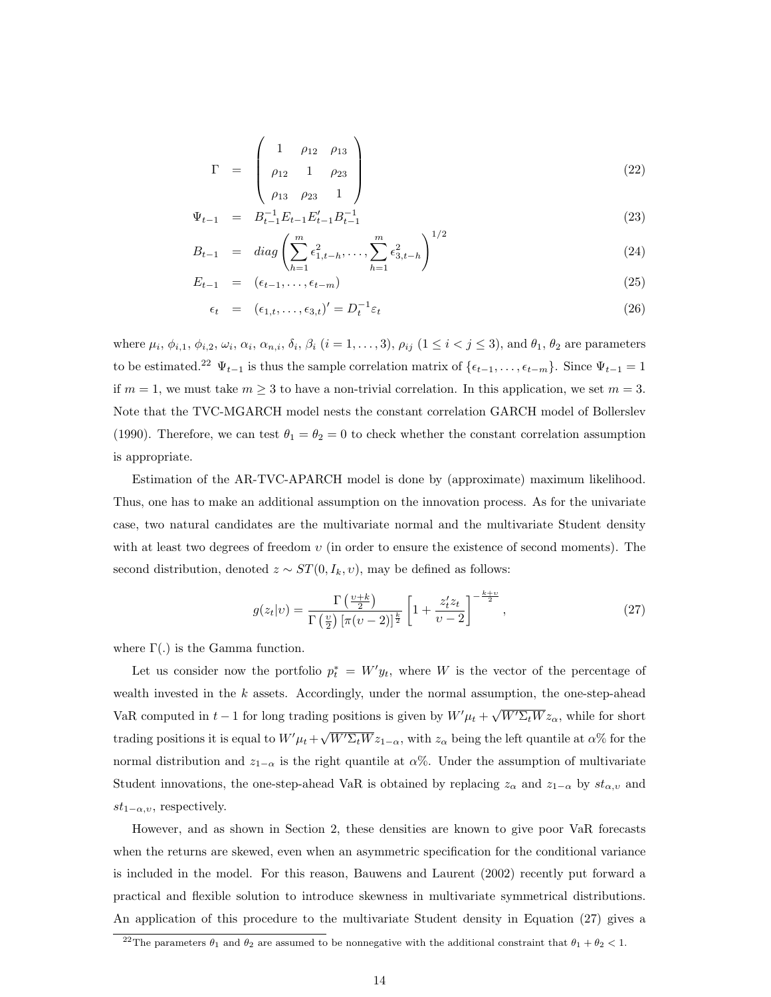$$
\Gamma = \begin{pmatrix} 1 & \rho_{12} & \rho_{13} \\ \rho_{12} & 1 & \rho_{23} \\ \rho_{13} & \rho_{23} & 1 \end{pmatrix}
$$
 (22)

$$
\Psi_{t-1} = B_{t-1}^{-1} E_{t-1} E_{t-1}' B_{t-1}^{-1}
$$
\n
$$
(23)
$$

$$
B_{t-1} = diag\left(\sum_{h=1}^{m} \epsilon_{1,t-h}^2, \dots, \sum_{h=1}^{m} \epsilon_{3,t-h}^2\right)^{1/2}
$$
\n(24)

$$
E_{t-1} = (\epsilon_{t-1}, \dots, \epsilon_{t-m}) \tag{25}
$$

$$
\epsilon_t = (\epsilon_{1,t}, \dots, \epsilon_{3,t})' = D_t^{-1} \varepsilon_t \tag{26}
$$

where  $\mu_i, \phi_{i,1}, \phi_{i,2}, \omega_i, \alpha_i, \alpha_{n,i}, \delta_i, \beta_i$   $(i = 1, \ldots, 3), \rho_{ij}$   $(1 \leq i < j \leq 3)$ , and  $\theta_1, \theta_2$  are parameters to be estimated.<sup>22</sup>  $\Psi_{t-1}$  is thus the sample correlation matrix of  $\{\epsilon_{t-1}, \ldots, \epsilon_{t-m}\}$ . Since  $\Psi_{t-1} = 1$ if  $m = 1$ , we must take  $m \geq 3$  to have a non-trivial correlation. In this application, we set  $m = 3$ . Note that the TVC-MGARCH model nests the constant correlation GARCH model of Bollerslev (1990). Therefore, we can test  $\theta_1 = \theta_2 = 0$  to check whether the constant correlation assumption is appropriate.

Estimation of the AR-TVC-APARCH model is done by (approximate) maximum likelihood. Thus, one has to make an additional assumption on the innovation process. As for the univariate case, two natural candidates are the multivariate normal and the multivariate Student density with at least two degrees of freedom  $v$  (in order to ensure the existence of second moments). The second distribution, denoted  $z \sim ST(0, I_k, v)$ , may be defined as follows:

$$
g(z_t|v) = \frac{\Gamma\left(\frac{v+k}{2}\right)}{\Gamma\left(\frac{v}{2}\right)\left[\pi(v-2)\right]^{\frac{k}{2}}}\left[1+\frac{z_t^{\prime}z_t}{v-2}\right]^{-\frac{k+v}{2}},\tag{27}
$$

where  $\Gamma(.)$  is the Gamma function.

Let us consider now the portfolio  $p_t^* = W'y_t$ , where W is the vector of the percentage of wealth invested in the  $k$  assets. Accordingly, under the normal assumption, the one-step-ahead VaR computed in  $t-1$  for long trading positions is given by  $W'\mu_t + \sqrt{W'\Sigma_t W} z_\alpha$ , while for short trading positions it is equal to  $W'\mu_t + \sqrt{W'\Sigma_t W} z_{1-\alpha}$ , with  $z_\alpha$  being the left quantile at  $\alpha$ % for the normal distribution and  $z_{1-\alpha}$  is the right quantile at  $\alpha$ %. Under the assumption of multivariate Student innovations, the one-step-ahead VaR is obtained by replacing  $z_{\alpha}$  and  $z_{1-\alpha}$  by  $st_{\alpha,\nu}$  and  $st_{1-\alpha,\nu}$ , respectively.

However, and as shown in Section 2, these densities are known to give poor VaR forecasts when the returns are skewed, even when an asymmetric specification for the conditional variance is included in the model. For this reason, Bauwens and Laurent (2002) recently put forward a practical and flexible solution to introduce skewness in multivariate symmetrical distributions. An application of this procedure to the multivariate Student density in Equation (27) gives a

<sup>&</sup>lt;sup>22</sup>The parameters  $\theta_1$  and  $\theta_2$  are assumed to be nonnegative with the additional constraint that  $\theta_1 + \theta_2 < 1$ .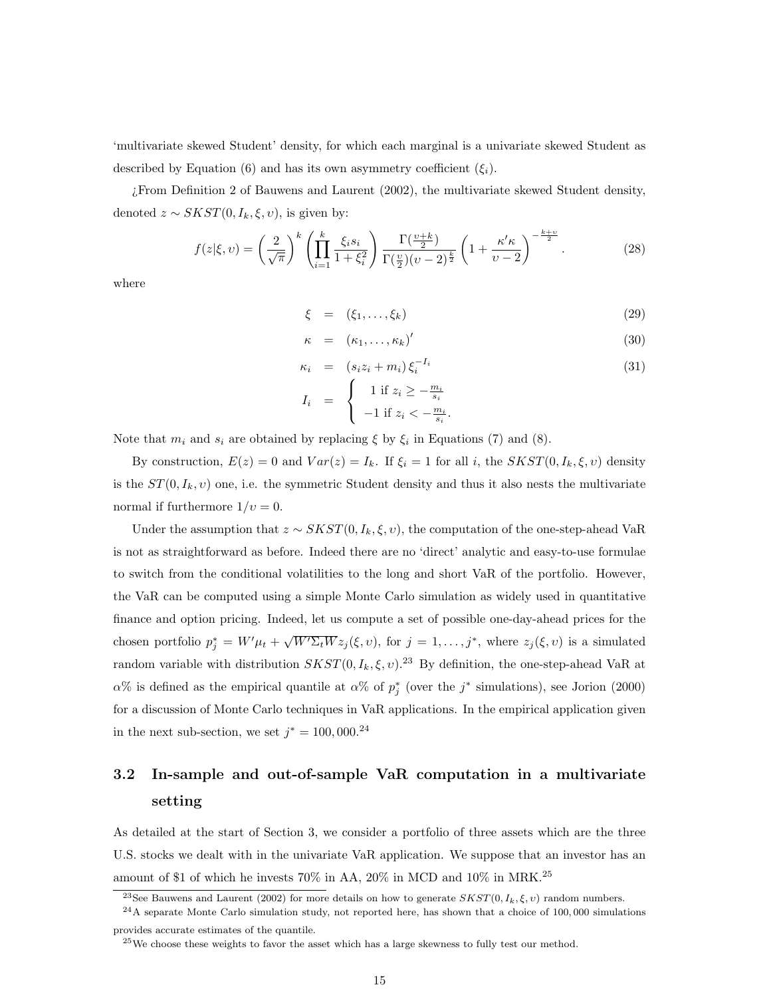'multivariate skewed Student' density, for which each marginal is a univariate skewed Student as described by Equation (6) and has its own asymmetry coefficient  $(\xi_i)$ .

¿From Definition 2 of Bauwens and Laurent (2002), the multivariate skewed Student density, denoted  $z \sim SKST(0, I_k, \xi, v)$ , is given by:

$$
f(z|\xi,\upsilon) = \left(\frac{2}{\sqrt{\pi}}\right)^k \left(\prod_{i=1}^k \frac{\xi_i s_i}{1 + \xi_i^2}\right) \frac{\Gamma(\frac{\upsilon + k}{2})}{\Gamma(\frac{\upsilon}{2})(\upsilon - 2)^{\frac{k}{2}}} \left(1 + \frac{\kappa' \kappa}{\upsilon - 2}\right)^{-\frac{k+\upsilon}{2}}.\tag{28}
$$

where

$$
\xi = (\xi_1, \dots, \xi_k) \tag{29}
$$

$$
\kappa = (\kappa_1, \dots, \kappa_k)'
$$
\n(30)

$$
\kappa_i = (s_i z_i + m_i) \xi_i^{-I_i} \tag{31}
$$

$$
I_i = \begin{cases} 1 \text{ if } z_i \geq -\frac{m_i}{s_i} \\ -1 \text{ if } z_i < -\frac{m_i}{s_i}. \end{cases}
$$

Note that  $m_i$  and  $s_i$  are obtained by replacing  $\xi$  by  $\xi_i$  in Equations (7) and (8).

By construction,  $E(z) = 0$  and  $Var(z) = I_k$ . If  $\xi_i = 1$  for all i, the  $SKST(0, I_k, \xi, v)$  density is the  $ST(0, I_k, v)$  one, i.e. the symmetric Student density and thus it also nests the multivariate normal if furthermore  $1/v = 0$ .

Under the assumption that  $z \sim SKST(0, I_k, \xi, v)$ , the computation of the one-step-ahead VaR is not as straightforward as before. Indeed there are no 'direct' analytic and easy-to-use formulae to switch from the conditional volatilities to the long and short VaR of the portfolio. However, the VaR can be computed using a simple Monte Carlo simulation as widely used in quantitative finance and option pricing. Indeed, let us compute a set of possible one-day-ahead prices for the chosen portfolio  $p_j^* = W'\mu_t + \sqrt{W'\Sigma_t W} z_j(\xi, v)$ , for  $j = 1, \ldots, j^*$ , where  $z_j(\xi, v)$  is a simulated random variable with distribution  $SKST(0, I_k, \xi, v)$ .<sup>23</sup> By definition, the one-step-ahead VaR at  $\alpha\%$  is defined as the empirical quantile at  $\alpha\%$  of  $p_j^*$  (over the j<sup>\*</sup> simulations), see Jorion (2000) for a discussion of Monte Carlo techniques in VaR applications. In the empirical application given in the next sub-section, we set  $j^* = 100,000^{24}$ 

# 3.2 In-sample and out-of-sample VaR computation in a multivariate setting

As detailed at the start of Section 3, we consider a portfolio of three assets which are the three U.S. stocks we dealt with in the univariate VaR application. We suppose that an investor has an amount of \$1 of which he invests  $70\%$  in AA,  $20\%$  in MCD and  $10\%$  in MRK. $^{25}$ 

<sup>&</sup>lt;sup>23</sup>See Bauwens and Laurent (2002) for more details on how to generate  $SKST(0, I_k, \xi, v)$  random numbers.

 $^{24}$ A separate Monte Carlo simulation study, not reported here, has shown that a choice of 100,000 simulations provides accurate estimates of the quantile.

<sup>&</sup>lt;sup>25</sup>We choose these weights to favor the asset which has a large skewness to fully test our method.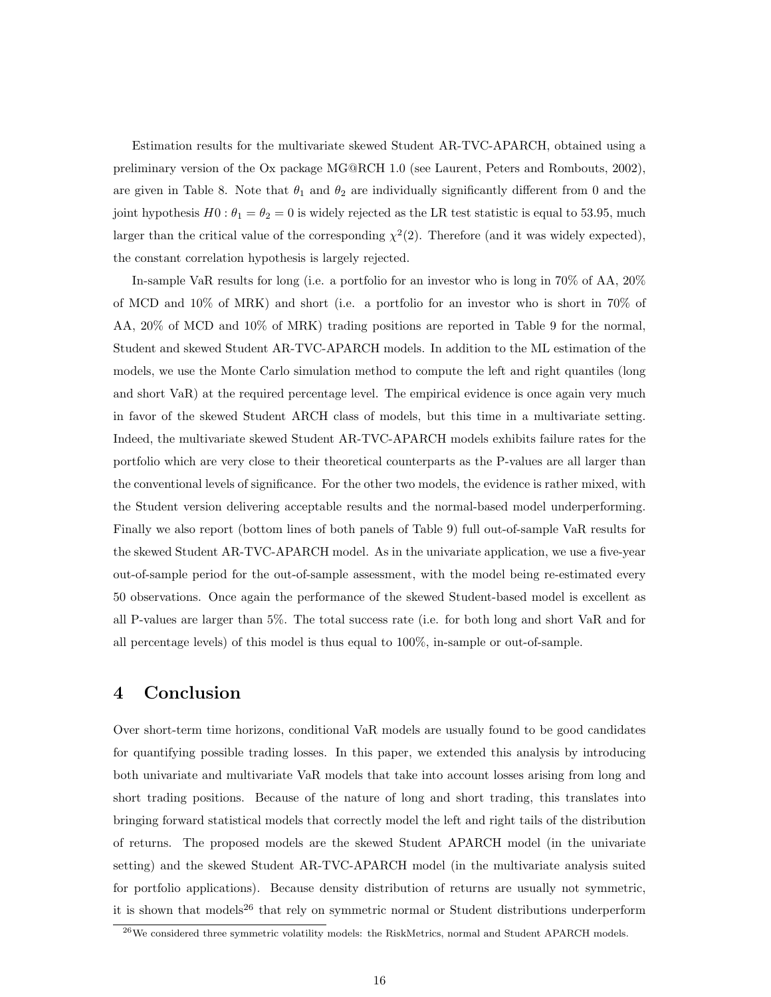Estimation results for the multivariate skewed Student AR-TVC-APARCH, obtained using a preliminary version of the Ox package MG@RCH 1.0 (see Laurent, Peters and Rombouts, 2002), are given in Table 8. Note that  $\theta_1$  and  $\theta_2$  are individually significantly different from 0 and the joint hypothesis  $H0: \theta_1 = \theta_2 = 0$  is widely rejected as the LR test statistic is equal to 53.95, much larger than the critical value of the corresponding  $\chi^2(2)$ . Therefore (and it was widely expected), the constant correlation hypothesis is largely rejected.

In-sample VaR results for long (i.e. a portfolio for an investor who is long in 70% of AA, 20% of MCD and 10% of MRK) and short (i.e. a portfolio for an investor who is short in 70% of AA, 20% of MCD and 10% of MRK) trading positions are reported in Table 9 for the normal, Student and skewed Student AR-TVC-APARCH models. In addition to the ML estimation of the models, we use the Monte Carlo simulation method to compute the left and right quantiles (long and short VaR) at the required percentage level. The empirical evidence is once again very much in favor of the skewed Student ARCH class of models, but this time in a multivariate setting. Indeed, the multivariate skewed Student AR-TVC-APARCH models exhibits failure rates for the portfolio which are very close to their theoretical counterparts as the P-values are all larger than the conventional levels of significance. For the other two models, the evidence is rather mixed, with the Student version delivering acceptable results and the normal-based model underperforming. Finally we also report (bottom lines of both panels of Table 9) full out-of-sample VaR results for the skewed Student AR-TVC-APARCH model. As in the univariate application, we use a five-year out-of-sample period for the out-of-sample assessment, with the model being re-estimated every 50 observations. Once again the performance of the skewed Student-based model is excellent as all P-values are larger than 5%. The total success rate (i.e. for both long and short VaR and for all percentage levels) of this model is thus equal to 100%, in-sample or out-of-sample.

# 4 Conclusion

Over short-term time horizons, conditional VaR models are usually found to be good candidates for quantifying possible trading losses. In this paper, we extended this analysis by introducing both univariate and multivariate VaR models that take into account losses arising from long and short trading positions. Because of the nature of long and short trading, this translates into bringing forward statistical models that correctly model the left and right tails of the distribution of returns. The proposed models are the skewed Student APARCH model (in the univariate setting) and the skewed Student AR-TVC-APARCH model (in the multivariate analysis suited for portfolio applications). Because density distribution of returns are usually not symmetric, it is shown that models<sup>26</sup> that rely on symmetric normal or Student distributions underperform

<sup>&</sup>lt;sup>26</sup>We considered three symmetric volatility models: the RiskMetrics, normal and Student APARCH models.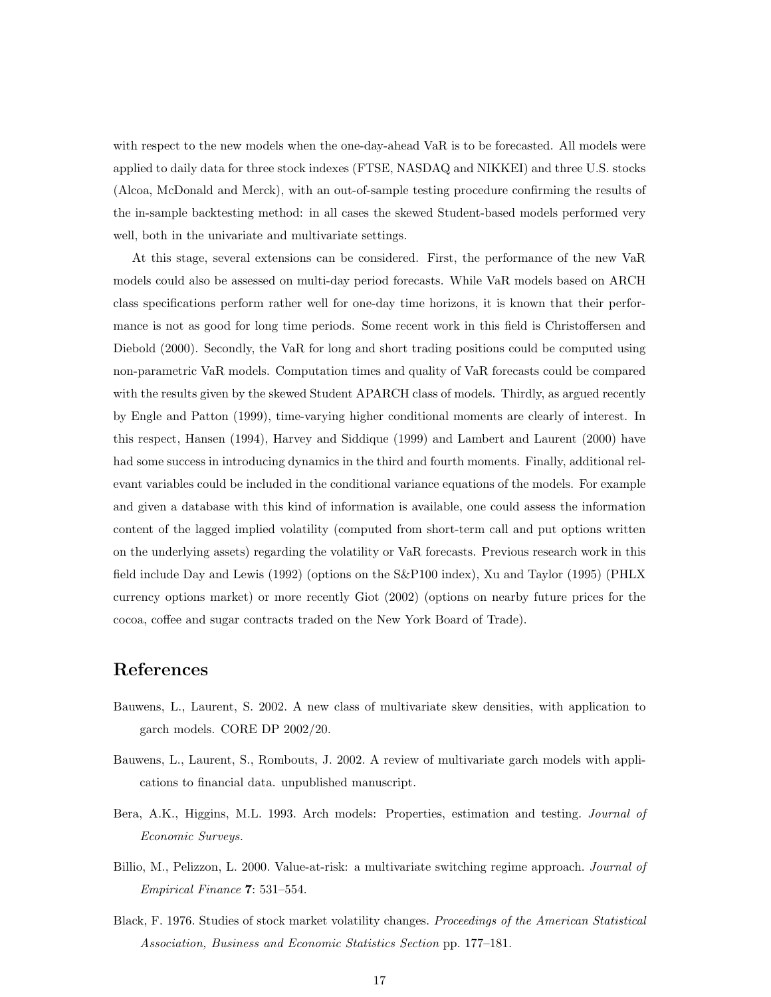with respect to the new models when the one-day-ahead VaR is to be forecasted. All models were applied to daily data for three stock indexes (FTSE, NASDAQ and NIKKEI) and three U.S. stocks (Alcoa, McDonald and Merck), with an out-of-sample testing procedure confirming the results of the in-sample backtesting method: in all cases the skewed Student-based models performed very well, both in the univariate and multivariate settings.

At this stage, several extensions can be considered. First, the performance of the new VaR models could also be assessed on multi-day period forecasts. While VaR models based on ARCH class specifications perform rather well for one-day time horizons, it is known that their performance is not as good for long time periods. Some recent work in this field is Christoffersen and Diebold (2000). Secondly, the VaR for long and short trading positions could be computed using non-parametric VaR models. Computation times and quality of VaR forecasts could be compared with the results given by the skewed Student APARCH class of models. Thirdly, as argued recently by Engle and Patton (1999), time-varying higher conditional moments are clearly of interest. In this respect, Hansen (1994), Harvey and Siddique (1999) and Lambert and Laurent (2000) have had some success in introducing dynamics in the third and fourth moments. Finally, additional relevant variables could be included in the conditional variance equations of the models. For example and given a database with this kind of information is available, one could assess the information content of the lagged implied volatility (computed from short-term call and put options written on the underlying assets) regarding the volatility or VaR forecasts. Previous research work in this field include Day and Lewis (1992) (options on the S&P100 index), Xu and Taylor (1995) (PHLX currency options market) or more recently Giot (2002) (options on nearby future prices for the cocoa, coffee and sugar contracts traded on the New York Board of Trade).

# References

- Bauwens, L., Laurent, S. 2002. A new class of multivariate skew densities, with application to garch models. CORE DP 2002/20.
- Bauwens, L., Laurent, S., Rombouts, J. 2002. A review of multivariate garch models with applications to financial data. unpublished manuscript.
- Bera, A.K., Higgins, M.L. 1993. Arch models: Properties, estimation and testing. Journal of Economic Surveys.
- Billio, M., Pelizzon, L. 2000. Value-at-risk: a multivariate switching regime approach. Journal of Empirical Finance 7: 531–554.
- Black, F. 1976. Studies of stock market volatility changes. Proceedings of the American Statistical Association, Business and Economic Statistics Section pp. 177–181.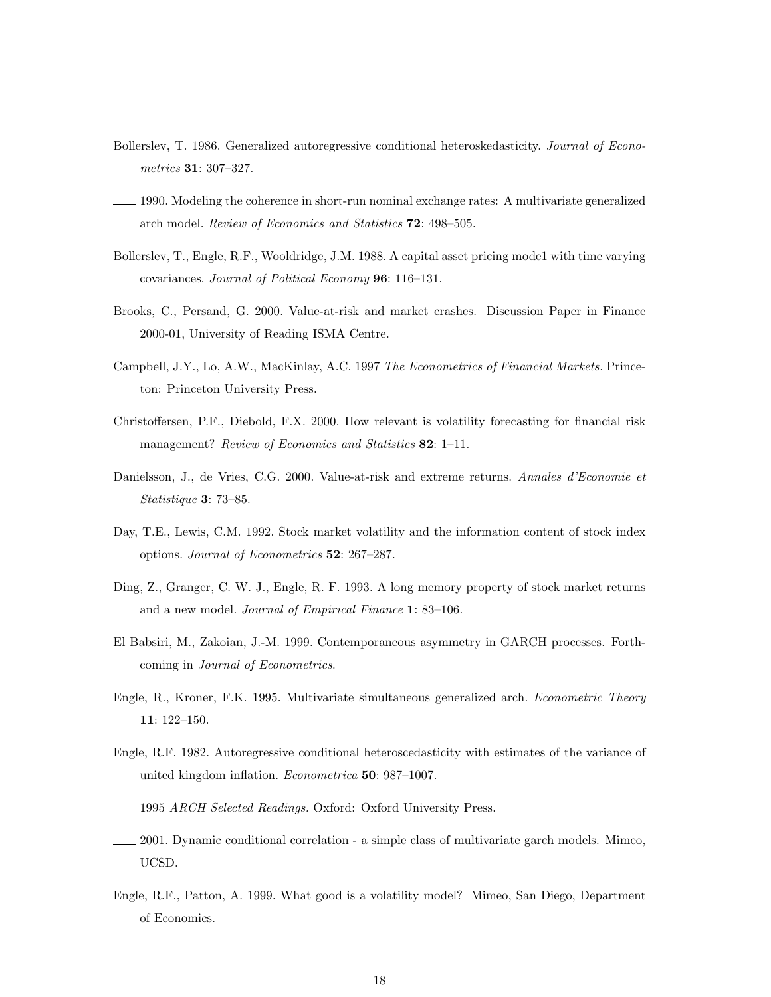- Bollerslev, T. 1986. Generalized autoregressive conditional heteroskedasticity. Journal of Econometrics 31: 307–327.
- 1990. Modeling the coherence in short-run nominal exchange rates: A multivariate generalized arch model. Review of Economics and Statistics 72: 498–505.
- Bollerslev, T., Engle, R.F., Wooldridge, J.M. 1988. A capital asset pricing mode1 with time varying covariances. Journal of Political Economy 96: 116–131.
- Brooks, C., Persand, G. 2000. Value-at-risk and market crashes. Discussion Paper in Finance 2000-01, University of Reading ISMA Centre.
- Campbell, J.Y., Lo, A.W., MacKinlay, A.C. 1997 The Econometrics of Financial Markets. Princeton: Princeton University Press.
- Christoffersen, P.F., Diebold, F.X. 2000. How relevant is volatility forecasting for financial risk management? Review of Economics and Statistics 82: 1–11.
- Danielsson, J., de Vries, C.G. 2000. Value-at-risk and extreme returns. Annales d'Economie et Statistique 3: 73–85.
- Day, T.E., Lewis, C.M. 1992. Stock market volatility and the information content of stock index options. Journal of Econometrics 52: 267–287.
- Ding, Z., Granger, C. W. J., Engle, R. F. 1993. A long memory property of stock market returns and a new model. Journal of Empirical Finance 1: 83–106.
- El Babsiri, M., Zakoian, J.-M. 1999. Contemporaneous asymmetry in GARCH processes. Forthcoming in Journal of Econometrics.
- Engle, R., Kroner, F.K. 1995. Multivariate simultaneous generalized arch. Econometric Theory 11: 122–150.
- Engle, R.F. 1982. Autoregressive conditional heteroscedasticity with estimates of the variance of united kingdom inflation. Econometrica 50: 987–1007.
- 1995 ARCH Selected Readings. Oxford: Oxford University Press.
- 2001. Dynamic conditional correlation a simple class of multivariate garch models. Mimeo, UCSD.
- Engle, R.F., Patton, A. 1999. What good is a volatility model? Mimeo, San Diego, Department of Economics.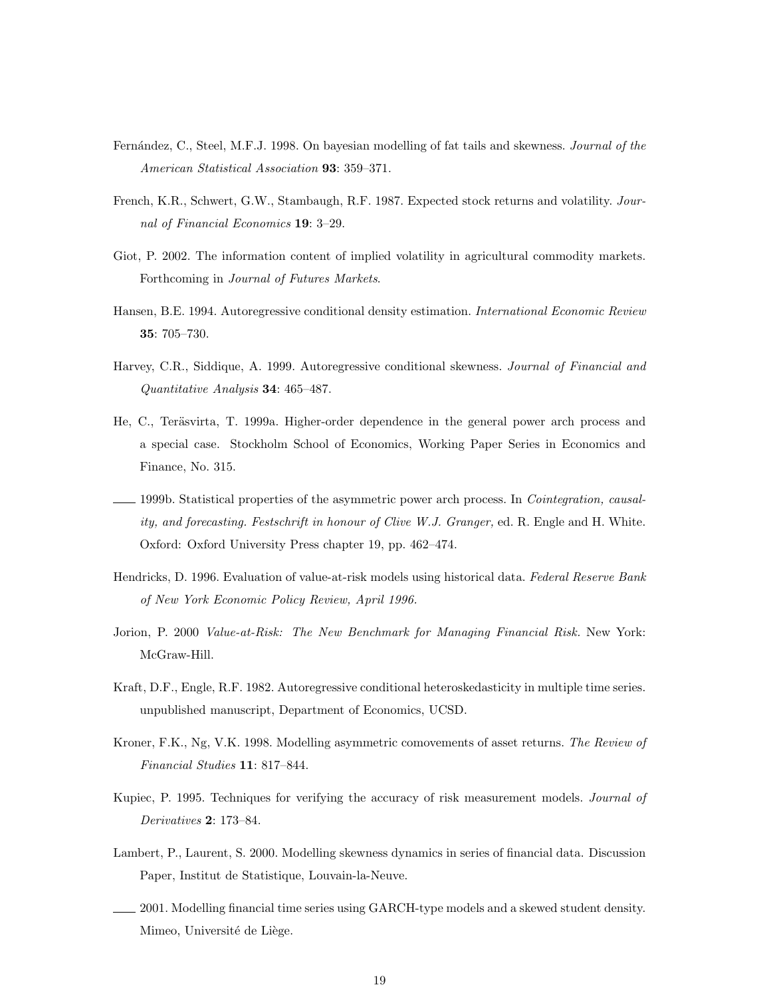- Fernández, C., Steel, M.F.J. 1998. On bayesian modelling of fat tails and skewness. Journal of the American Statistical Association 93: 359-371.
- French, K.R., Schwert, G.W., Stambaugh, R.F. 1987. Expected stock returns and volatility. Journal of Financial Economics 19: 3–29.
- Giot, P. 2002. The information content of implied volatility in agricultural commodity markets. Forthcoming in Journal of Futures Markets.
- Hansen, B.E. 1994. Autoregressive conditional density estimation. International Economic Review 35: 705–730.
- Harvey, C.R., Siddique, A. 1999. Autoregressive conditional skewness. Journal of Financial and Quantitative Analysis 34: 465–487.
- He, C., Teräsvirta, T. 1999a. Higher-order dependence in the general power arch process and a special case. Stockholm School of Economics, Working Paper Series in Economics and Finance, No. 315.
- 1999b. Statistical properties of the asymmetric power arch process. In *Cointegration, causal*ity, and forecasting. Festschrift in honour of Clive W.J. Granger, ed. R. Engle and H. White. Oxford: Oxford University Press chapter 19, pp. 462–474.
- Hendricks, D. 1996. Evaluation of value-at-risk models using historical data. Federal Reserve Bank of New York Economic Policy Review, April 1996.
- Jorion, P. 2000 Value-at-Risk: The New Benchmark for Managing Financial Risk. New York: McGraw-Hill.
- Kraft, D.F., Engle, R.F. 1982. Autoregressive conditional heteroskedasticity in multiple time series. unpublished manuscript, Department of Economics, UCSD.
- Kroner, F.K., Ng, V.K. 1998. Modelling asymmetric comovements of asset returns. The Review of Financial Studies 11: 817–844.
- Kupiec, P. 1995. Techniques for verifying the accuracy of risk measurement models. *Journal of* Derivatives 2: 173–84.
- Lambert, P., Laurent, S. 2000. Modelling skewness dynamics in series of financial data. Discussion Paper, Institut de Statistique, Louvain-la-Neuve.
- 2001. Modelling financial time series using GARCH-type models and a skewed student density. Mimeo, Université de Liège.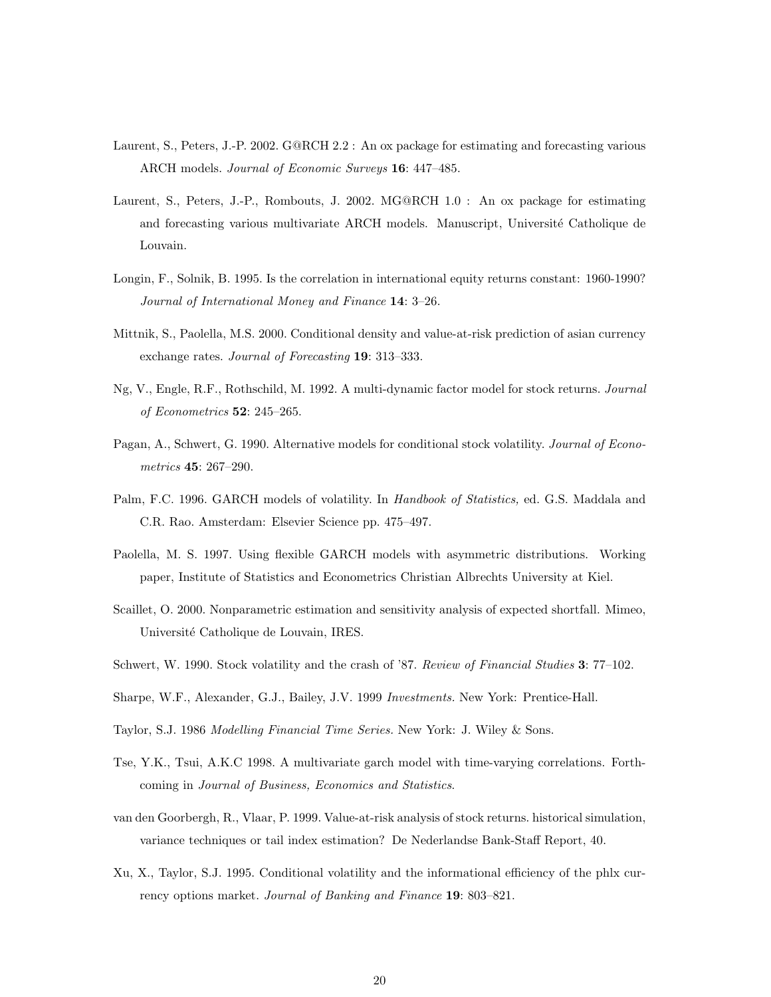- Laurent, S., Peters, J.-P. 2002. G@RCH 2.2 : An ox package for estimating and forecasting various ARCH models. Journal of Economic Surveys 16: 447–485.
- Laurent, S., Peters, J.-P., Rombouts, J. 2002. MG@RCH 1.0 : An ox package for estimating and forecasting various multivariate ARCH models. Manuscript, Université Catholique de Louvain.
- Longin, F., Solnik, B. 1995. Is the correlation in international equity returns constant: 1960-1990? Journal of International Money and Finance 14: 3–26.
- Mittnik, S., Paolella, M.S. 2000. Conditional density and value-at-risk prediction of asian currency exchange rates. Journal of Forecasting 19: 313–333.
- Ng, V., Engle, R.F., Rothschild, M. 1992. A multi-dynamic factor model for stock returns. Journal of Econometrics 52: 245–265.
- Pagan, A., Schwert, G. 1990. Alternative models for conditional stock volatility. Journal of Econometrics 45: 267–290.
- Palm, F.C. 1996. GARCH models of volatility. In Handbook of Statistics, ed. G.S. Maddala and C.R. Rao. Amsterdam: Elsevier Science pp. 475–497.
- Paolella, M. S. 1997. Using flexible GARCH models with asymmetric distributions. Working paper, Institute of Statistics and Econometrics Christian Albrechts University at Kiel.
- Scaillet, O. 2000. Nonparametric estimation and sensitivity analysis of expected shortfall. Mimeo, Université Catholique de Louvain, IRES.
- Schwert, W. 1990. Stock volatility and the crash of '87. Review of Financial Studies 3: 77–102.
- Sharpe, W.F., Alexander, G.J., Bailey, J.V. 1999 Investments. New York: Prentice-Hall.
- Taylor, S.J. 1986 Modelling Financial Time Series. New York: J. Wiley & Sons.
- Tse, Y.K., Tsui, A.K.C 1998. A multivariate garch model with time-varying correlations. Forthcoming in Journal of Business, Economics and Statistics.
- van den Goorbergh, R., Vlaar, P. 1999. Value-at-risk analysis of stock returns. historical simulation, variance techniques or tail index estimation? De Nederlandse Bank-Staff Report, 40.
- Xu, X., Taylor, S.J. 1995. Conditional volatility and the informational efficiency of the phlx currency options market. Journal of Banking and Finance 19: 803–821.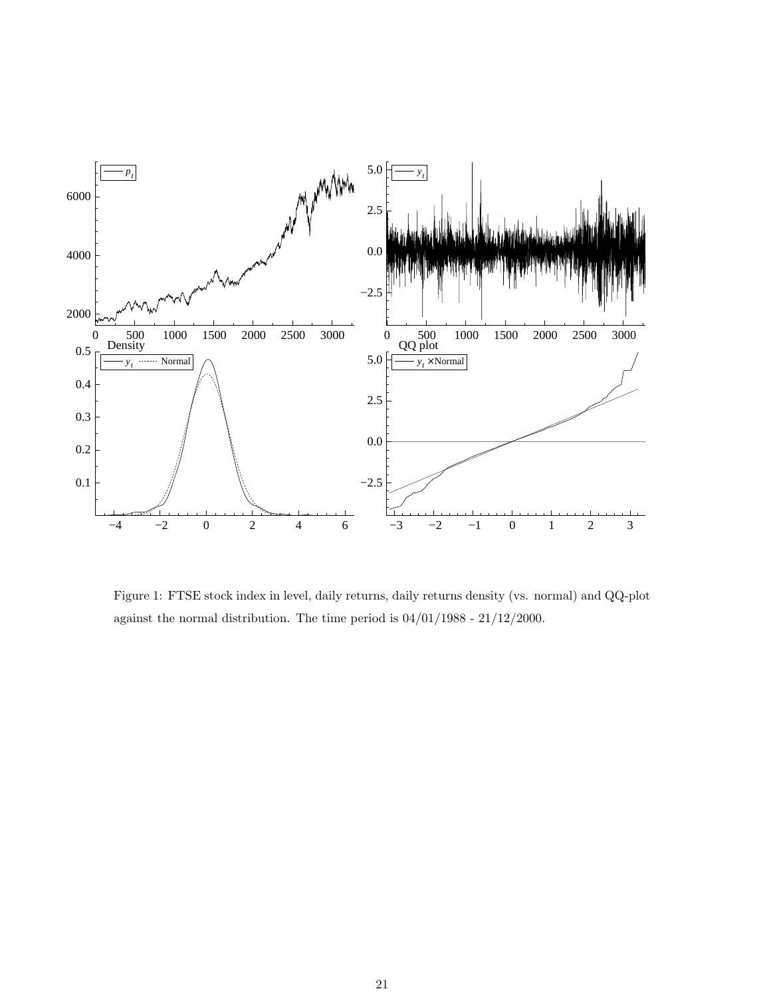

Figure 1: FTSE stock index in level, daily returns, daily returns density (vs. normal) and QQ-plot against the normal distribution. The time period is  $04/01/1988$  -  $21/12/2000.$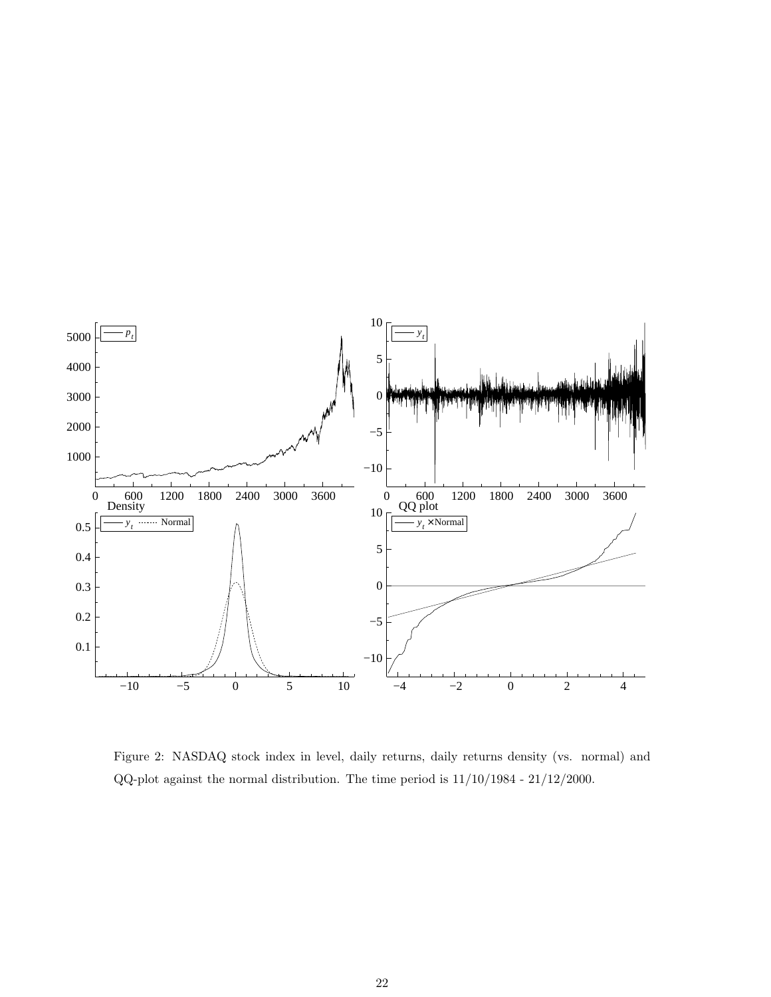

Figure 2: NASDAQ stock index in level, daily returns, daily returns density (vs. normal) and QQ-plot against the normal distribution. The time period is 11/10/1984 - 21/12/2000.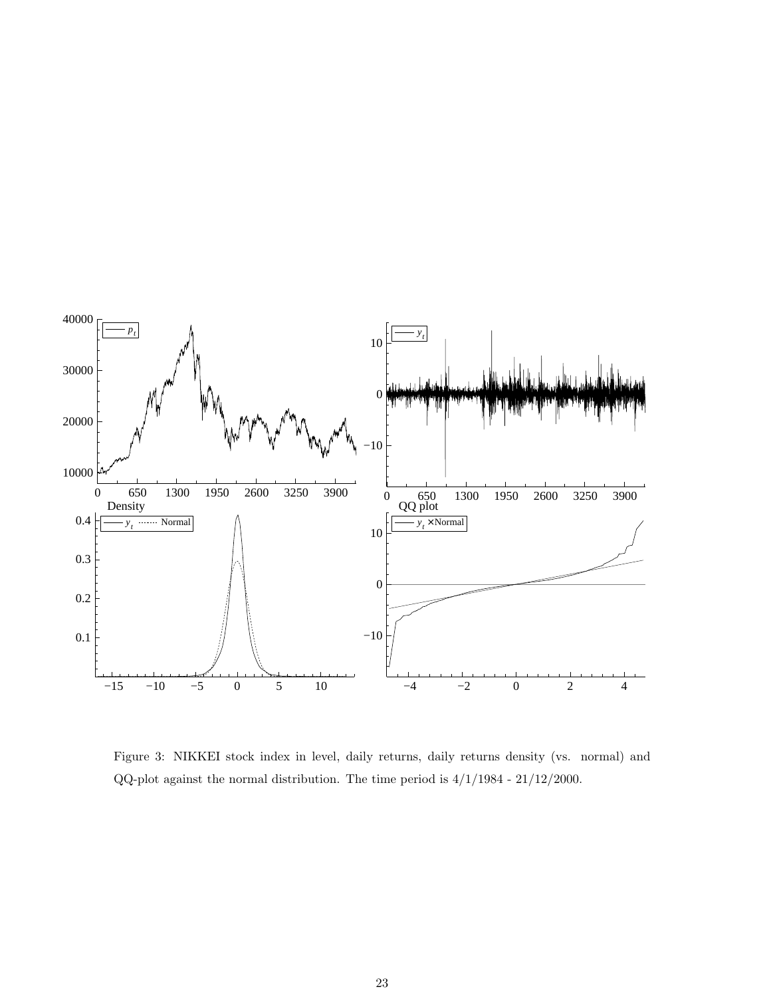

Figure 3: NIKKEI stock index in level, daily returns, daily returns density (vs. normal) and QQ-plot against the normal distribution. The time period is  $4/1/1984$  -  $21/12/2000$ .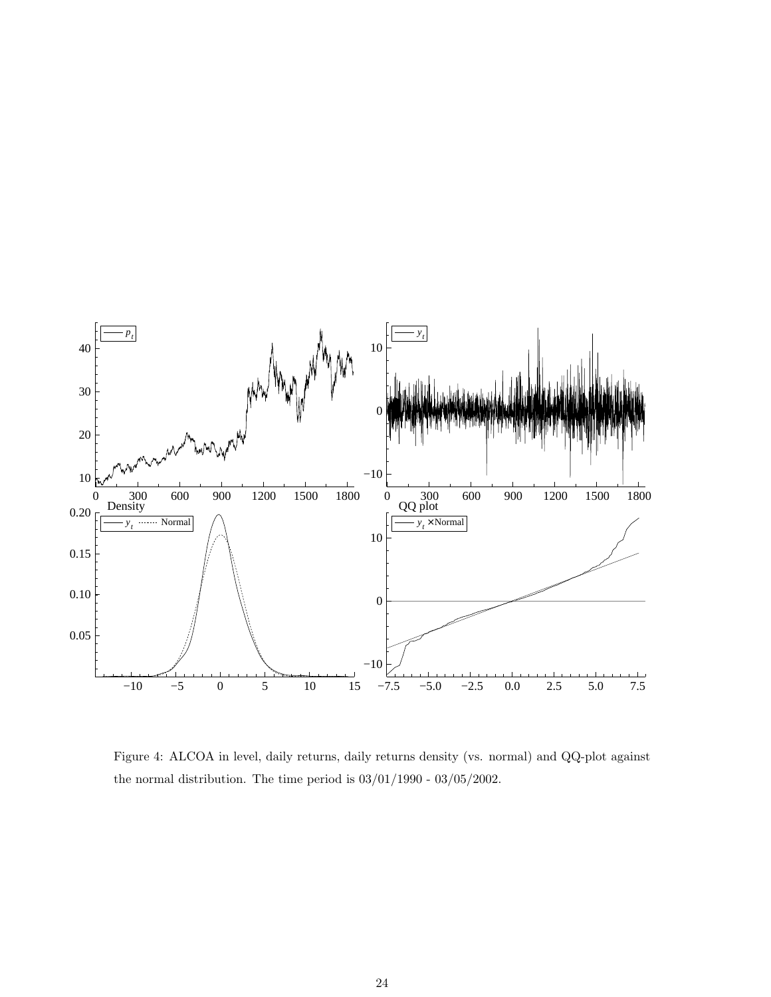

Figure 4: ALCOA in level, daily returns, daily returns density (vs. normal) and QQ-plot against the normal distribution. The time period is 03/01/1990 - 03/05/2002.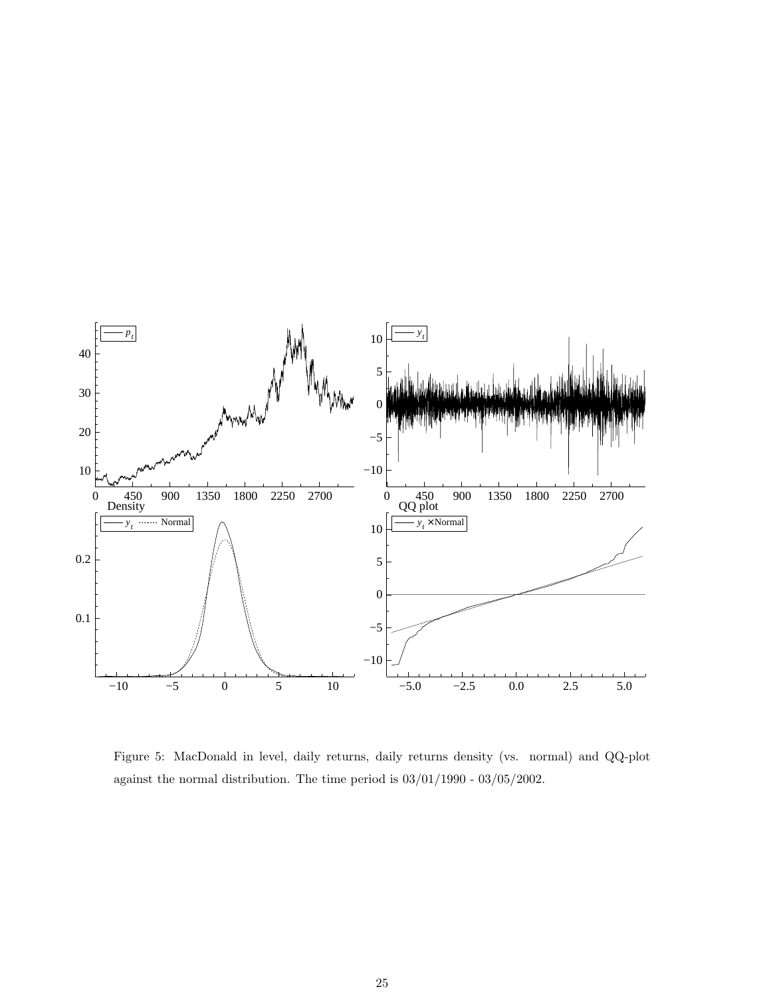

Figure 5: MacDonald in level, daily returns, daily returns density (vs. normal) and QQ-plot against the normal distribution. The time period is 03/01/1990 - 03/05/2002.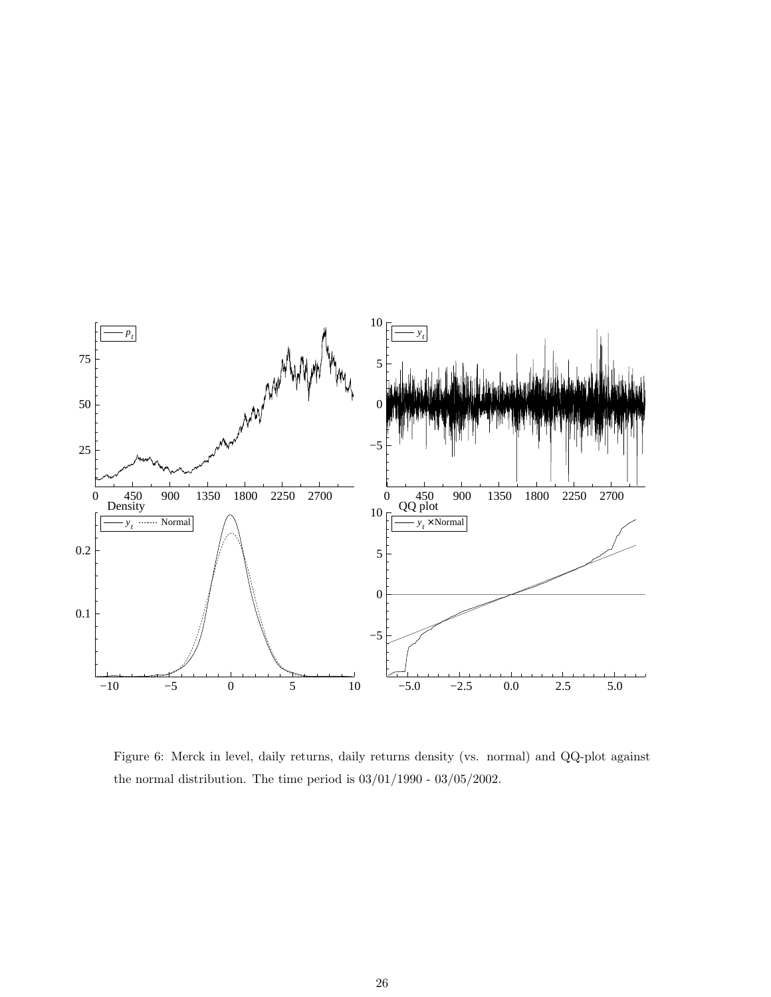

Figure 6: Merck in level, daily returns, daily returns density (vs. normal) and QQ-plot against the normal distribution. The time period is  $03/01/1990$  -  $03/05/2002$ .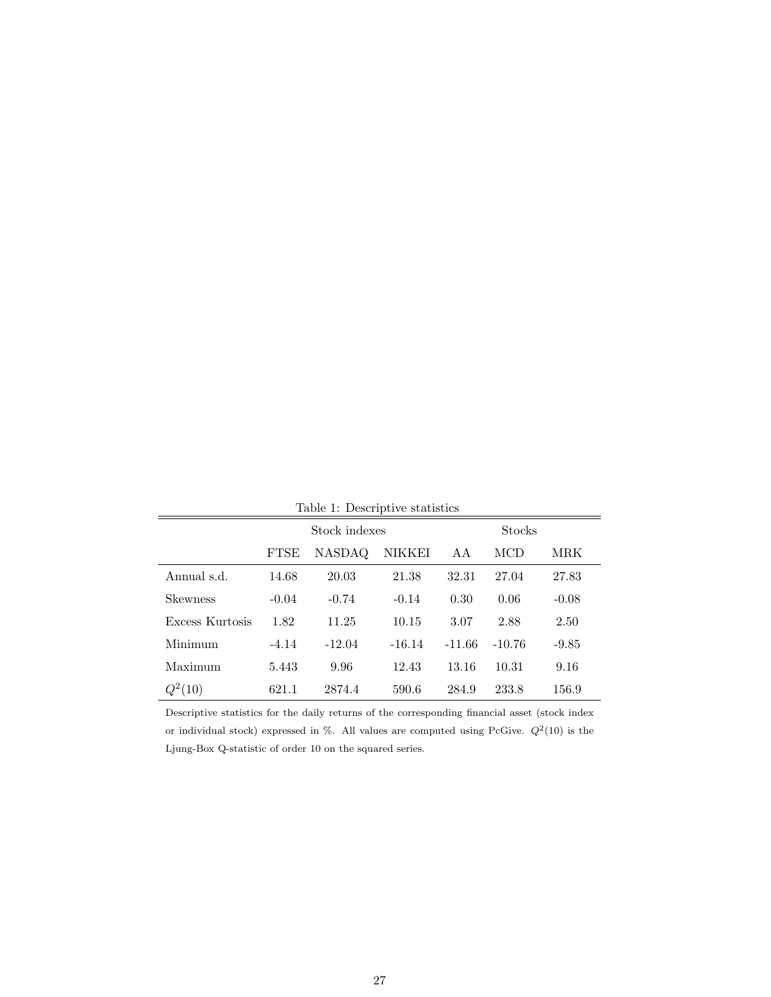| Table 1: Descriptive statistics |               |               |          |               |          |         |
|---------------------------------|---------------|---------------|----------|---------------|----------|---------|
|                                 | Stock indexes |               |          | <b>Stocks</b> |          |         |
|                                 | <b>FTSE</b>   | <b>NASDAQ</b> | NIKKEI   | AA            | MCD      | MRK     |
| Annual s.d.                     | 14.68         | 20.03         | 21.38    | 32.31         | 27.04    | 27.83   |
| <b>Skewness</b>                 | $-0.04$       | $-0.74$       | $-0.14$  | 0.30          | 0.06     | $-0.08$ |
| Excess Kurtosis                 | 1.82          | 11.25         | 10.15    | 3.07          | 2.88     | 2.50    |
| Minimum                         | $-4.14$       | $-12.04$      | $-16.14$ | $-11.66$      | $-10.76$ | $-9.85$ |
| Maximum                         | 5.443         | 9.96          | 12.43    | 13.16         | 10.31    | 9.16    |
| $Q^2(10)$                       | 621.1         | 2874.4        | 590.6    | 284.9         | 233.8    | 156.9   |

able 1: D

Descriptive statistics for the daily returns of the corresponding financial asset (stock index or individual stock) expressed in %. All values are computed using PcGive.  $Q^2(10)$  is the Ljung-Box Q-statistic of order 10 on the squared series.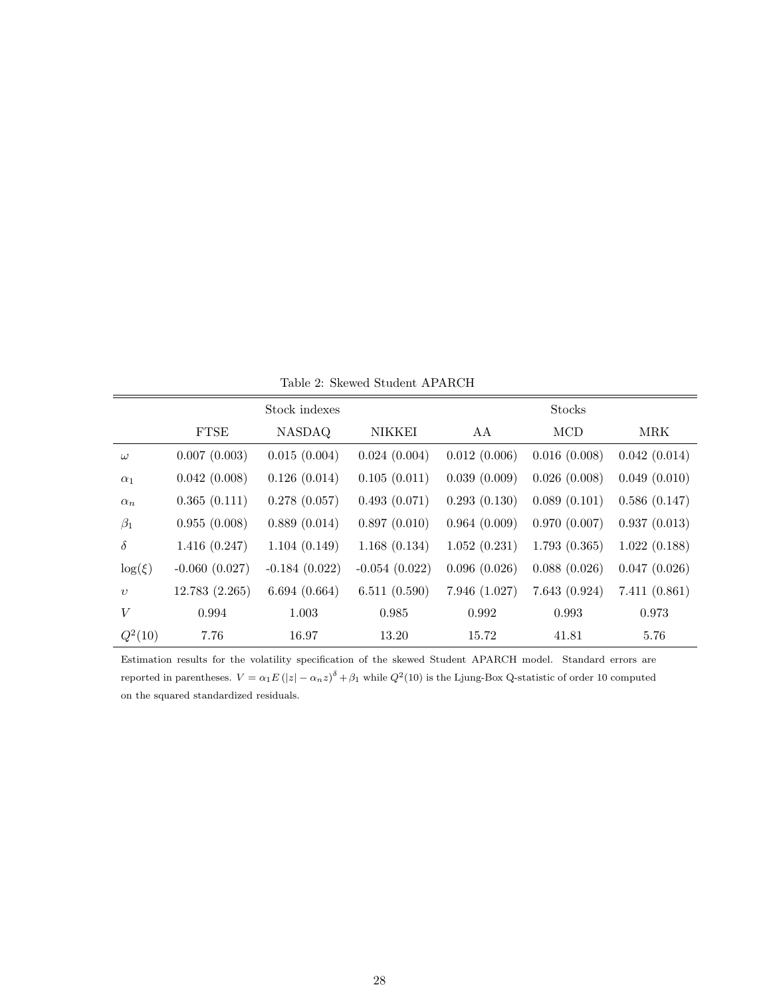Table 2: Skewed Student APARCH

|             |                    | Stock indexes   |                 |              | Stocks       |              |
|-------------|--------------------|-----------------|-----------------|--------------|--------------|--------------|
|             | <b>FTSE</b>        | <b>NASDAQ</b>   | <b>NIKKEI</b>   | AA           | MCD          | <b>MRK</b>   |
| $\omega$    | 0.007(0.003)       | 0.015(0.004)    | 0.024(0.004)    | 0.012(0.006) | 0.016(0.008) | 0.042(0.014) |
| $\alpha_1$  | 0.042(0.008)       | 0.126(0.014)    | 0.105(0.011)    | 0.039(0.009) | 0.026(0.008) | 0.049(0.010) |
| $\alpha_n$  | 0.365(0.111)       | 0.278(0.057)    | 0.493(0.071)    | 0.293(0.130) | 0.089(0.101) | 0.586(0.147) |
| $\beta_1$   | 0.955(0.008)       | 0.889(0.014)    | 0.897(0.010)    | 0.964(0.009) | 0.970(0.007) | 0.937(0.013) |
| $\delta$    | 1.416(0.247)       | 1.104(0.149)    | 1.168(0.134)    | 1.052(0.231) | 1.793(0.365) | 1.022(0.188) |
| $\log(\xi)$ | $-0.060$ $(0.027)$ | $-0.184(0.022)$ | $-0.054(0.022)$ | 0.096(0.026) | 0.088(0.026) | 0.047(0.026) |
| $\upsilon$  | 12.783 (2.265)     | 6.694(0.664)    | 6.511(0.590)    | 7.946(1.027) | 7.643(0.924) | 7.411(0.861) |
| V           | 0.994              | 1.003           | 0.985           | 0.992        | 0.993        | 0.973        |
| $Q^2(10)$   | 7.76               | 16.97           | 13.20           | 15.72        | 41.81        | 5.76         |

Estimation results for the volatility specification of the skewed Student APARCH model. Standard errors are reported in parentheses.  $V = \alpha_1 E (|z| - \alpha_n z)^{\delta} + \beta_1$  while  $Q^2(10)$  is the Ljung-Box Q-statistic of order 10 computed on the squared standardized residuals.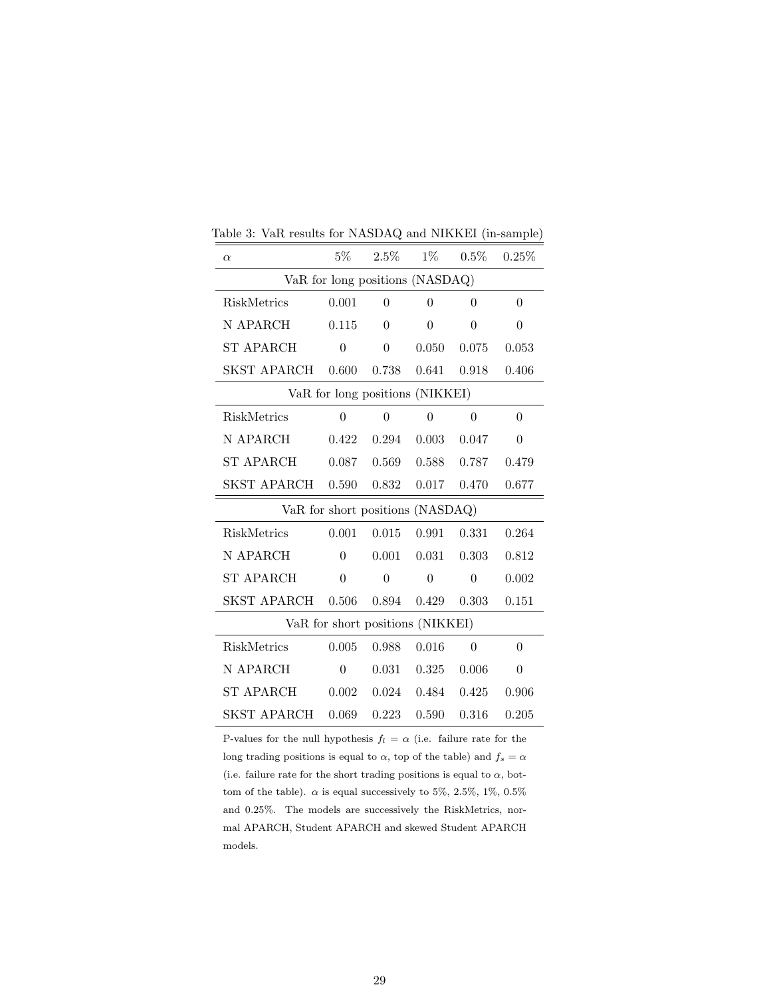| $\alpha$                         | $5\%$    | $2.5\%$  | $1\%$    | 0.5%           | $0.25\%$       |  |  |  |
|----------------------------------|----------|----------|----------|----------------|----------------|--|--|--|
| VaR for long positions (NASDAQ)  |          |          |          |                |                |  |  |  |
| RiskMetrics                      | 0.001    | $\theta$ | $\theta$ | $\theta$       | $\overline{0}$ |  |  |  |
| N APARCH                         | 0.115    | $\theta$ | $\Omega$ | $\overline{0}$ | $\theta$       |  |  |  |
| <b>ST APARCH</b>                 | $\theta$ | $\theta$ | 0.050    | 0.075          | 0.053          |  |  |  |
| SKST APARCH                      | 0.600    | 0.738    | 0.641    | 0.918          | 0.406          |  |  |  |
| VaR for long positions (NIKKEI)  |          |          |          |                |                |  |  |  |
| <b>RiskMetrics</b>               | $\theta$ | $\theta$ | $\theta$ | $\theta$       | $\theta$       |  |  |  |
| N APARCH                         | 0.422    | 0.294    | 0.003    | 0.047          | $\overline{0}$ |  |  |  |
| <b>ST APARCH</b>                 | 0.087    | 0.569    | 0.588    | 0.787          | 0.479          |  |  |  |
| <b>SKST APARCH</b>               | 0.590    | 0.832    | 0.017    | 0.470          | 0.677          |  |  |  |
| VaR for short positions (NASDAQ) |          |          |          |                |                |  |  |  |
| <b>RiskMetrics</b>               | 0.001    | 0.015    | 0.991    | 0.331          | 0.264          |  |  |  |
| N APARCH                         | $\theta$ | 0.001    | 0.031    | 0.303          | 0.812          |  |  |  |
| <b>ST APARCH</b>                 | $\theta$ | $\theta$ | $\theta$ | $\theta$       | 0.002          |  |  |  |
| <b>SKST APARCH</b>               | 0.506    | 0.894    | 0.429    | 0.303          | 0.151          |  |  |  |
| VaR for short positions (NIKKEI) |          |          |          |                |                |  |  |  |
| <b>RiskMetrics</b>               | 0.005    | 0.988    | 0.016    | $\theta$       | $\theta$       |  |  |  |
| N APARCH                         | $\theta$ | 0.031    | 0.325    | 0.006          | $\overline{0}$ |  |  |  |
| ST APARCH                        | 0.002    | 0.024    | 0.484    | 0.425          | 0.906          |  |  |  |
| SKST APARCH                      | 0.069    | 0.223    | 0.590    | 0.316          | 0.205          |  |  |  |

Table 3: VaR results for NASDAQ and NIKKEI (in-sample)

P-values for the null hypothesis  $f_l = \alpha$  (i.e. failure rate for the long trading positions is equal to  $\alpha$ , top of the table) and  $f_s = \alpha$ (i.e. failure rate for the short trading positions is equal to  $\alpha,$  bottom of the table).  $\alpha$  is equal successively to 5%, 2.5%, 1%, 0.5% and 0.25%. The models are successively the RiskMetrics, normal APARCH, Student APARCH and skewed Student APARCH models.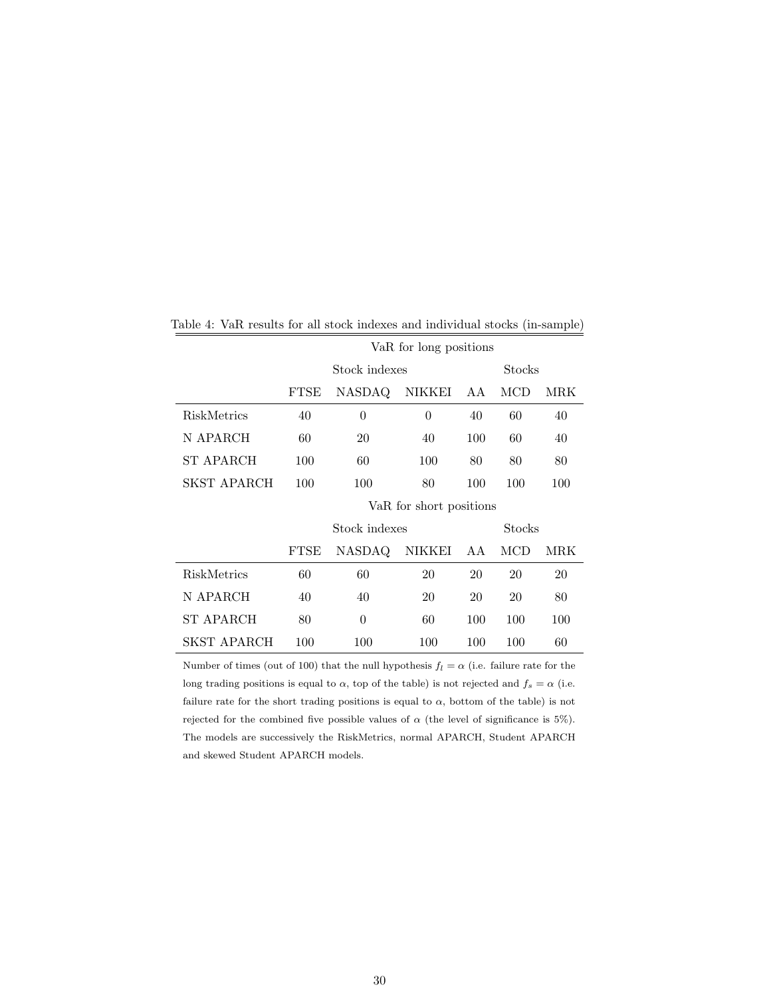|                    |             |                | VaR for long positions  |     |        |     |
|--------------------|-------------|----------------|-------------------------|-----|--------|-----|
|                    |             | Stock indexes  |                         |     | Stocks |     |
|                    | FTSE        | NASDAQ         | NIKKEI                  | AΑ  | MCD    | MRK |
| <b>RiskMetrics</b> | 40          | $\theta$       | $\theta$                | 40  | 60     | 40  |
| N APARCH           | 60          | 20             | 40                      | 100 | 60     | 40  |
| <b>ST APARCH</b>   | 100         | 60             | 100                     | 80  | 80     | 80  |
| <b>SKST APARCH</b> | 100         | 100            | 80                      | 100 | 100    | 100 |
|                    |             |                | VaR for short positions |     |        |     |
|                    |             | Stock indexes  |                         |     | Stocks |     |
|                    | <b>FTSE</b> | NASDAQ         | NIKKEI                  | AΑ  | MCD    | MRK |
| <b>RiskMetrics</b> | 60          | 60             | 20                      | 20  | 20     | 20  |
| N APARCH           | 40          | 40             | 20                      | 20  | 20     | 80  |
| <b>ST APARCH</b>   | 80          | $\overline{0}$ | 60                      | 100 | 100    | 100 |
| SKST APARCH        | 100         | 100            | 100                     | 100 | 100    | 60  |

Table 4: VaR results for all stock indexes and individual stocks (in-sample)

Number of times (out of 100) that the null hypothesis  $f_l = \alpha$  (i.e. failure rate for the long trading positions is equal to  $\alpha,$  top of the table) is not rejected and  $f_s=\alpha$  (i.e. failure rate for the short trading positions is equal to  $\alpha$ , bottom of the table) is not rejected for the combined five possible values of  $\alpha$  (the level of significance is 5%). The models are successively the RiskMetrics, normal APARCH, Student APARCH and skewed Student APARCH models.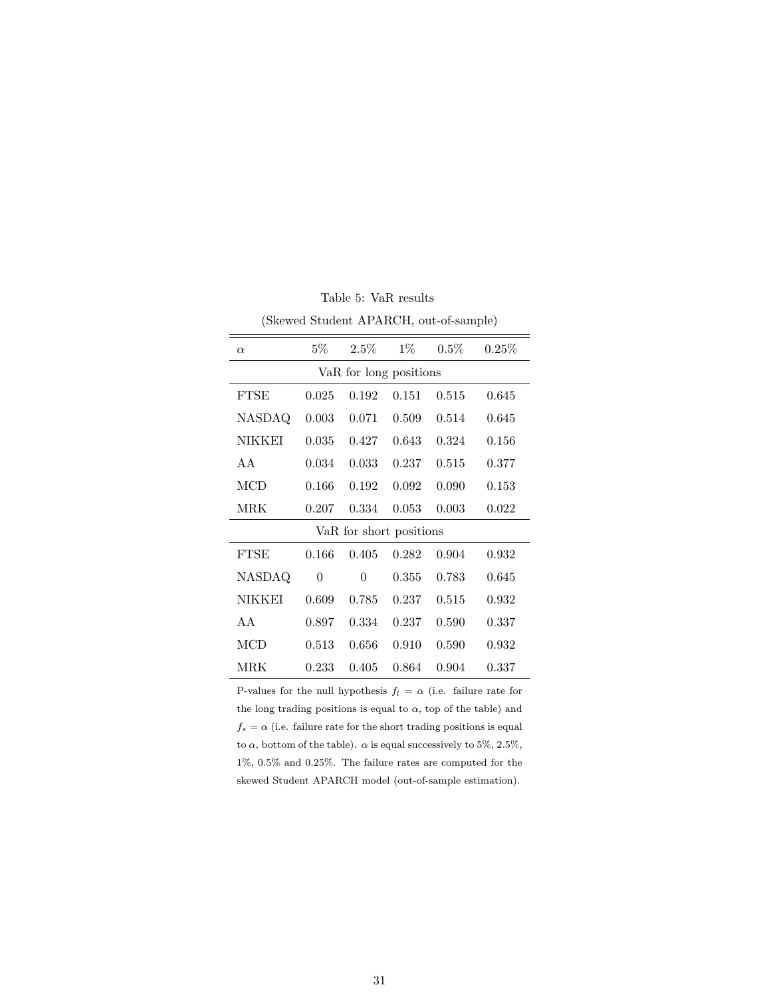| $\alpha$      | $5\%$          | $2.5\%$                 | $1\%$ | $0.5\%$ | $0.25\%$ |
|---------------|----------------|-------------------------|-------|---------|----------|
|               |                | VaR for long positions  |       |         |          |
| <b>FTSE</b>   | 0.025          | 0.192                   | 0.151 | 0.515   | 0.645    |
| NASDAQ        | 0.003          | 0.071                   | 0.509 | 0.514   | 0.645    |
| NIKKEI        | 0.035          | 0.427                   | 0.643 | 0.324   | 0.156    |
| A A           | 0.034          | 0.033                   | 0.237 | 0.515   | 0.377    |
| MCD           | 0.166          | 0.192                   | 0.092 | 0.090   | 0.153    |
| MRK           | 0.207          | 0.334                   | 0.053 | 0.003   | 0.022    |
|               |                | VaR for short positions |       |         |          |
| <b>FTSE</b>   | 0.166          | 0.405                   | 0.282 | 0.904   | 0.932    |
| <b>NASDAQ</b> | $\overline{0}$ | $\Omega$                | 0.355 | 0.783   | 0.645    |
| NIKKEI        | 0.609          | 0.785                   | 0.237 | 0.515   | 0.932    |
| AΑ            | 0.897          | 0.334                   | 0.237 | 0.590   | 0.337    |
| MCD           | 0.513          | 0.656                   | 0.910 | 0.590   | 0.932    |
| <b>MRK</b>    | 0.233          | 0.405                   | 0.864 | 0.904   | 0.337    |

Table 5: VaR results

(Skewed Student APARCH, out-of-sample)

P-values for the null hypothesis  $f_l$  =  $\alpha$  (i.e. failure rate for the long trading positions is equal to  $\alpha$ , top of the table) and  $f_s = \alpha$  (i.e. failure rate for the short trading positions is equal to  $\alpha$ , bottom of the table).  $\alpha$  is equal successively to 5%, 2.5%, 1%, 0.5% and 0.25%. The failure rates are computed for the skewed Student APARCH model (out-of-sample estimation).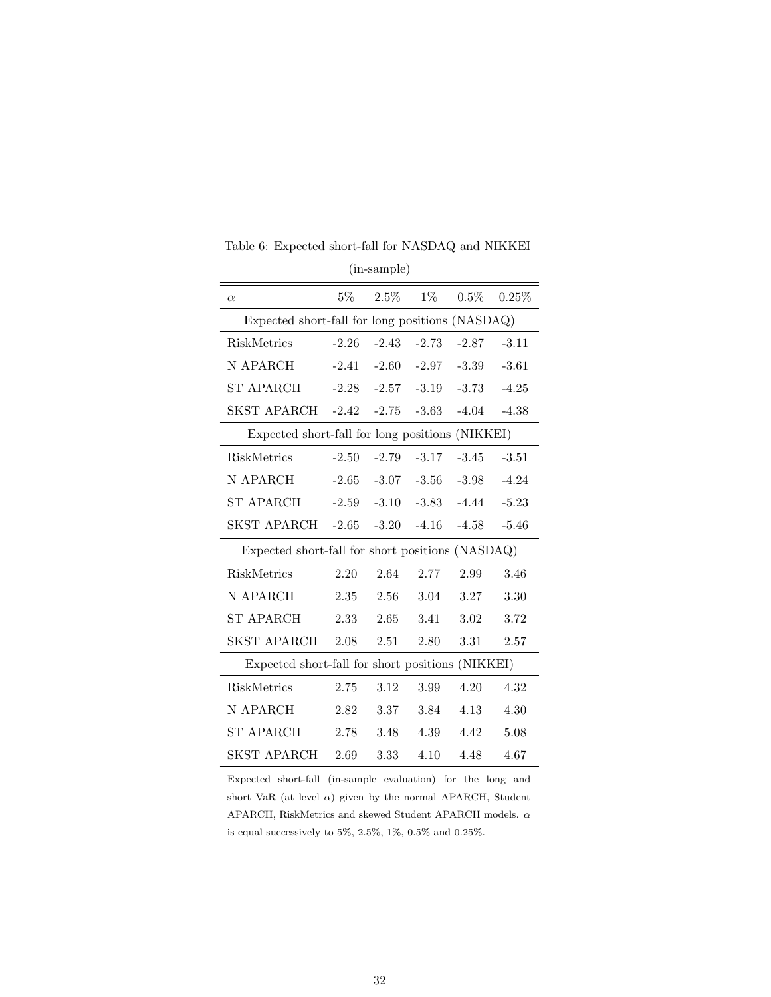| $2.5\% - 1\%$<br>$5\%$<br>0.5%<br>0.25%<br>$\alpha$<br>Expected short-fall for long positions (NASDAQ)<br><b>RiskMetrics</b><br>$-2.26$<br>$-2.43$<br>$-2.73$<br>$-2.87$<br>$-3.11$<br>N APARCH<br>$-2.41$<br>$-2.60$<br>$-3.39$<br>$-3.61$<br>$-2.97$<br><b>ST APARCH</b><br>$-2.28$<br>$-4.25$<br>$-2.57$<br>$-3.19$<br>$-3.73$<br><b>SKST APARCH</b><br>$-2.42$<br>$-4.04$<br>$-2.75$<br>$-3.63$<br>$-4.38$<br>Expected short-fall for long positions (NIKKEI)<br>$-3.45$<br>RiskMetrics<br>$-2.50$<br>$-2.79$<br>$-3.17$<br>$-3.51$<br>N APARCH<br>$-2.65$<br>$-3.07$<br>$-3.56$<br>$-3.98$<br>$-4.24$<br><b>ST APARCH</b><br>$-2.59$<br>$-3.10$<br>$-4.44$<br>$-5.23$<br>$-3.83$<br>SKST APARCH<br>$-2.65$<br>$-3.20$<br>$-4.16$<br>$-4.58$<br>$-5.46$<br>Expected short-fall for short positions (NASDAQ)<br>RiskMetrics<br>2.20<br>2.64<br>2.99<br>3.46<br>2.77<br>N APARCH<br>2.35<br>3.04<br>3.27<br>3.30<br>2.56 |  |  |  |  |  |  |  |
|----------------------------------------------------------------------------------------------------------------------------------------------------------------------------------------------------------------------------------------------------------------------------------------------------------------------------------------------------------------------------------------------------------------------------------------------------------------------------------------------------------------------------------------------------------------------------------------------------------------------------------------------------------------------------------------------------------------------------------------------------------------------------------------------------------------------------------------------------------------------------------------------------------------------------|--|--|--|--|--|--|--|
|                                                                                                                                                                                                                                                                                                                                                                                                                                                                                                                                                                                                                                                                                                                                                                                                                                                                                                                            |  |  |  |  |  |  |  |
|                                                                                                                                                                                                                                                                                                                                                                                                                                                                                                                                                                                                                                                                                                                                                                                                                                                                                                                            |  |  |  |  |  |  |  |
|                                                                                                                                                                                                                                                                                                                                                                                                                                                                                                                                                                                                                                                                                                                                                                                                                                                                                                                            |  |  |  |  |  |  |  |
|                                                                                                                                                                                                                                                                                                                                                                                                                                                                                                                                                                                                                                                                                                                                                                                                                                                                                                                            |  |  |  |  |  |  |  |
|                                                                                                                                                                                                                                                                                                                                                                                                                                                                                                                                                                                                                                                                                                                                                                                                                                                                                                                            |  |  |  |  |  |  |  |
|                                                                                                                                                                                                                                                                                                                                                                                                                                                                                                                                                                                                                                                                                                                                                                                                                                                                                                                            |  |  |  |  |  |  |  |
|                                                                                                                                                                                                                                                                                                                                                                                                                                                                                                                                                                                                                                                                                                                                                                                                                                                                                                                            |  |  |  |  |  |  |  |
|                                                                                                                                                                                                                                                                                                                                                                                                                                                                                                                                                                                                                                                                                                                                                                                                                                                                                                                            |  |  |  |  |  |  |  |
|                                                                                                                                                                                                                                                                                                                                                                                                                                                                                                                                                                                                                                                                                                                                                                                                                                                                                                                            |  |  |  |  |  |  |  |
|                                                                                                                                                                                                                                                                                                                                                                                                                                                                                                                                                                                                                                                                                                                                                                                                                                                                                                                            |  |  |  |  |  |  |  |
|                                                                                                                                                                                                                                                                                                                                                                                                                                                                                                                                                                                                                                                                                                                                                                                                                                                                                                                            |  |  |  |  |  |  |  |
|                                                                                                                                                                                                                                                                                                                                                                                                                                                                                                                                                                                                                                                                                                                                                                                                                                                                                                                            |  |  |  |  |  |  |  |
|                                                                                                                                                                                                                                                                                                                                                                                                                                                                                                                                                                                                                                                                                                                                                                                                                                                                                                                            |  |  |  |  |  |  |  |
|                                                                                                                                                                                                                                                                                                                                                                                                                                                                                                                                                                                                                                                                                                                                                                                                                                                                                                                            |  |  |  |  |  |  |  |
| <b>ST APARCH</b><br>2.33<br>2.65<br>3.41<br>3.02<br>3.72                                                                                                                                                                                                                                                                                                                                                                                                                                                                                                                                                                                                                                                                                                                                                                                                                                                                   |  |  |  |  |  |  |  |
| SKST APARCH<br>2.08<br>2.51<br>2.80<br>3.31<br>2.57                                                                                                                                                                                                                                                                                                                                                                                                                                                                                                                                                                                                                                                                                                                                                                                                                                                                        |  |  |  |  |  |  |  |
| Expected short-fall for short positions (NIKKEI)                                                                                                                                                                                                                                                                                                                                                                                                                                                                                                                                                                                                                                                                                                                                                                                                                                                                           |  |  |  |  |  |  |  |
| RiskMetrics<br>3.12<br>4.20<br>4.32<br>2.75<br>3.99                                                                                                                                                                                                                                                                                                                                                                                                                                                                                                                                                                                                                                                                                                                                                                                                                                                                        |  |  |  |  |  |  |  |
| 3.37<br>4.13<br>4.30<br>N APARCH<br>2.82<br>3.84                                                                                                                                                                                                                                                                                                                                                                                                                                                                                                                                                                                                                                                                                                                                                                                                                                                                           |  |  |  |  |  |  |  |
| <b>ST APARCH</b><br>2.78<br>3.48<br>4.39<br>4.42<br>5.08                                                                                                                                                                                                                                                                                                                                                                                                                                                                                                                                                                                                                                                                                                                                                                                                                                                                   |  |  |  |  |  |  |  |
| <b>SKST APARCH</b><br>2.69<br>3.33<br>4.10<br>4.67<br>4.48                                                                                                                                                                                                                                                                                                                                                                                                                                                                                                                                                                                                                                                                                                                                                                                                                                                                 |  |  |  |  |  |  |  |

Table 6: Expected short-fall for NASDAQ and NIKKEI

(in-sample)

Expected short-fall (in-sample evaluation) for the long and short VaR (at level  $\alpha$ ) given by the normal APARCH, Student APARCH, RiskMetrics and skewed Student APARCH models.  $\alpha$ is equal successively to 5%, 2.5%, 1%, 0.5% and 0.25%.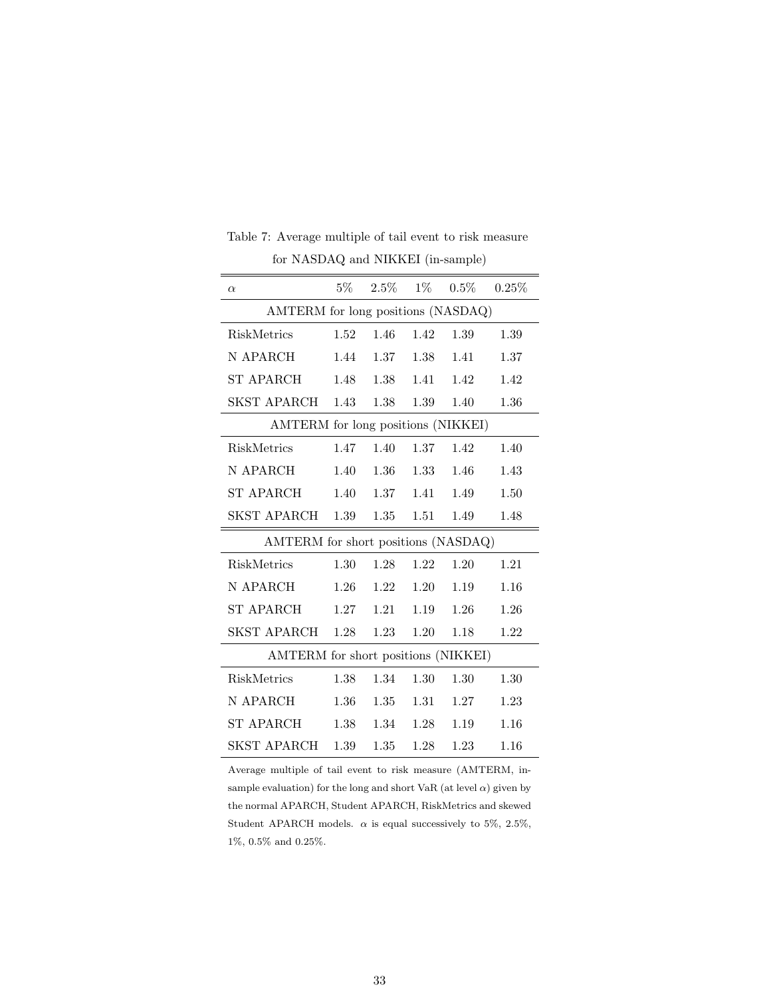| $\alpha$                            | $5\%$ | $2.5\%$ | $1\%$ | $0.5\%$  | 0.25% |  |  |  |
|-------------------------------------|-------|---------|-------|----------|-------|--|--|--|
| AMTERM for long positions (NASDAQ)  |       |         |       |          |       |  |  |  |
| RiskMetrics                         | 1.52  | 1.46    | 1.42  | 1.39     | 1.39  |  |  |  |
| N APARCH                            | 1.44  | 1.37    | 1.38  | 1.41     | 1.37  |  |  |  |
| <b>ST APARCH</b>                    | 1.48  | 1.38    | 1.41  | 1.42     | 1.42  |  |  |  |
| SKST APARCH                         | 1.43  | 1.38    | 1.39  | 1.40     | 1.36  |  |  |  |
| AMTERM for long positions (NIKKEI)  |       |         |       |          |       |  |  |  |
| RiskMetrics                         | 1.47  | 1.40    | 1.37  | 1.42     | 1.40  |  |  |  |
| N APARCH                            | 1.40  | 1.36    | 1.33  | 1.46     | 1.43  |  |  |  |
| ST APARCH                           | 1.40  | 1.37    | 1.41  | 1.49     | 1.50  |  |  |  |
| <b>SKST APARCH</b>                  | 1.39  | 1.35    | 1.51  | 1.49     | 1.48  |  |  |  |
| AMTERM for short positions (NASDAQ) |       |         |       |          |       |  |  |  |
| <b>RiskMetrics</b>                  | 1.30  | 1.28    | 1.22  | 1.20     | 1.21  |  |  |  |
| N APARCH                            | 1.26  | 1.22    | 1.20  | 1.19     | 1.16  |  |  |  |
| <b>ST APARCH</b>                    | 1.27  | 1.21    | 1.19  | 1.26     | 1.26  |  |  |  |
| SKST APARCH                         | 1.28  | 1.23    | 1.20  | $1.18\,$ | 1.22  |  |  |  |
| AMTERM for short positions (NIKKEI) |       |         |       |          |       |  |  |  |
| RiskMetrics                         | 1.38  | 1.34    | 1.30  | 1.30     | 1.30  |  |  |  |
| N APARCH                            | 1.36  | 1.35    | 1.31  | 1.27     | 1.23  |  |  |  |
| ST APARCH                           | 1.38  | 1.34    | 1.28  | 1.19     | 1.16  |  |  |  |
| <b>SKST APARCH</b>                  | 1.39  | 1.35    | 1.28  | 1.23     | 1.16  |  |  |  |

Table 7: Average multiple of tail event to risk measure for NASDAQ and NIKKEI (in-sample)

Average multiple of tail event to risk measure (AMTERM, insample evaluation) for the long and short VaR (at level  $\alpha$ ) given by the normal APARCH, Student APARCH, RiskMetrics and skewed Student APARCH models.  $\alpha$  is equal successively to 5%, 2.5%,  $1\%,\,0.5\%$  and  $0.25\%.$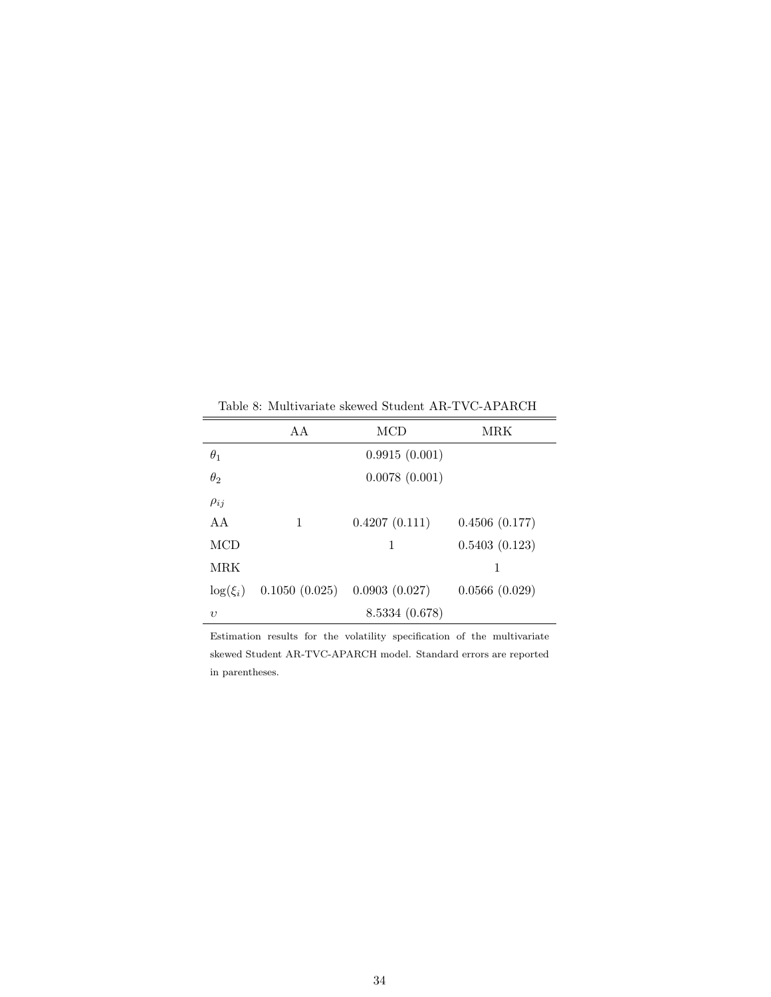|               | A A           | MCD            | MRK           |
|---------------|---------------|----------------|---------------|
| $\theta_1$    |               | 0.9915(0.001)  |               |
| $\theta_2$    |               | 0.0078(0.001)  |               |
| $\rho_{ij}$   |               |                |               |
| A A           | 1             | 0.4207(0.111)  | 0.4506(0.177) |
| MCD           |               | 1              | 0.5403(0.123) |
| MRK           |               |                | 1             |
| $\log(\xi_i)$ | 0.1050(0.025) | 0.0903(0.027)  | 0.0566(0.029) |
| $\upsilon$    |               | 8.5334 (0.678) |               |

Table 8: Multivariate skewed Student AR-TVC-APARCH

Estimation results for the volatility specification of the multivariate skewed Student AR-TVC-APARCH model. Standard errors are reported in parentheses.